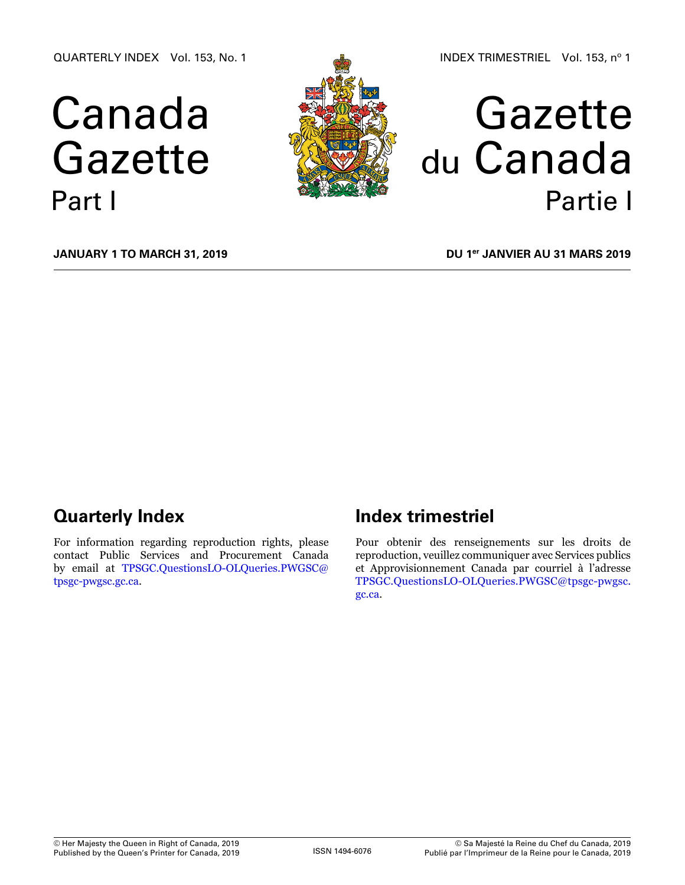QUARTERLY INDEX Vol. 153, No. 1

# Canada Gazette Part I



## Gazette du Canada Partie I

**January 1 to March 31, 2019**

**DU 1er janvier au 31 mars 2019**

## **Quarterly Index**

For information regarding reproduction rights, please contact Public Services and Procurement Canada by email at [TPSGC.QuestionsLO-OLQueries.PWGSC@](mailto:TPSGC.QuestionsLO-OLQueries.PWGSC%40tpsgc-pwgsc.gc.ca?subject=) [tpsgc-pwgsc.gc.ca](mailto:TPSGC.QuestionsLO-OLQueries.PWGSC%40tpsgc-pwgsc.gc.ca?subject=).

## **Index trimestriel**

Pour obtenir des renseignements sur les droits de reproduction, veuillez communiquer avec Services publics et Approvisionnement Canada par courriel à l'adresse [TPSGC.QuestionsLO-OLQueries.PWGSC@tpsgc-pwgsc.](mailto:TPSGC.QuestionsLO-OLQueries.PWGSC%40tpsgc-pwgsc.gc.ca?subject=) [gc.ca](mailto:TPSGC.QuestionsLO-OLQueries.PWGSC%40tpsgc-pwgsc.gc.ca?subject=).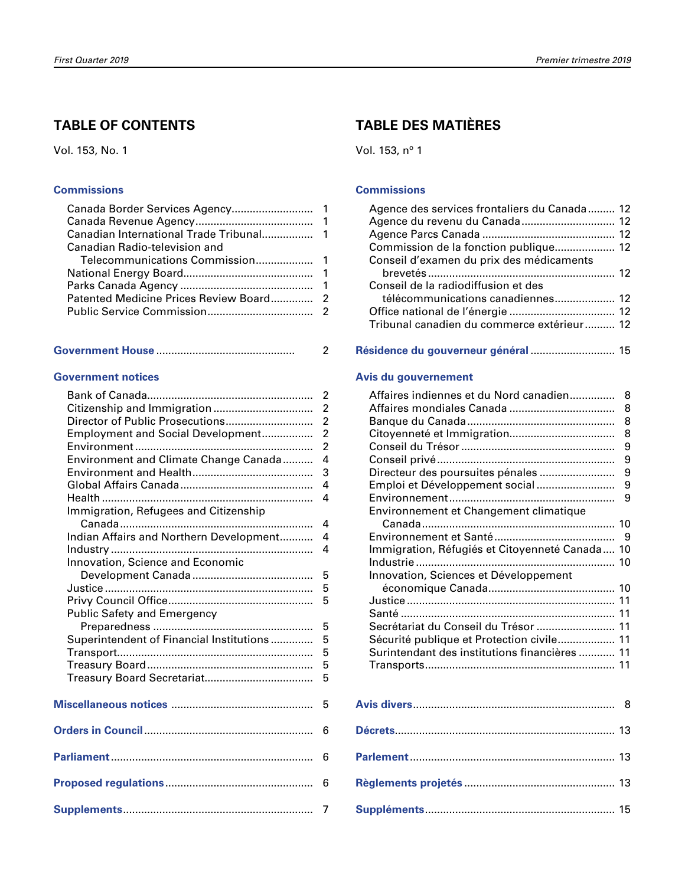### **TABLE OF CONTENTS**

Vol. 153, No. 1

#### **[Commissions](#page-2-0)**

| Canadian Radio-television and |  |
|-------------------------------|--|
|                               |  |
|                               |  |
|                               |  |
|                               |  |
|                               |  |
|                               |  |

|--|--|

#### **[Government notices](#page-3-0)**

|                                          | $\overline{2}$ |
|------------------------------------------|----------------|
|                                          | $\overline{2}$ |
| Director of Public Prosecutions          | $\overline{2}$ |
| Employment and Social Development        | $\overline{2}$ |
|                                          | $\overline{2}$ |
| Environment and Climate Change Canada    | $\overline{4}$ |
|                                          | 3              |
|                                          | 4              |
|                                          | 4              |
| Immigration, Refugees and Citizenship    |                |
|                                          | 4              |
| Indian Affairs and Northern Development  | 4              |
|                                          | 4              |
| Innovation, Science and Economic         |                |
|                                          | 5              |
|                                          | 5              |
|                                          | 5              |
| Public Safety and Emergency              |                |
|                                          | 5              |
| Superintendent of Financial Institutions | 5              |
|                                          | 5              |
|                                          | 5              |
|                                          | 5              |
|                                          |                |
|                                          | 5              |
|                                          |                |
|                                          | 6              |
|                                          |                |
|                                          | 6              |
|                                          |                |
|                                          | 6              |
|                                          |                |
|                                          | 7              |

## **TABLE DES MATIÈRES**

Vol. 153, nº 1

#### **[Commissions](#page-13-0)**

| Agence des services frontaliers du Canada 12 |  |
|----------------------------------------------|--|
|                                              |  |
|                                              |  |
|                                              |  |
| Conseil d'examen du prix des médicaments     |  |
|                                              |  |
| Conseil de la radiodiffusion et des          |  |
| télécommunications canadiennes 12            |  |
|                                              |  |
| Tribunal canadien du commerce extérieur 12   |  |
|                                              |  |

#### **[Résidence du gouverneur général](#page-16-0)** ............................ 15

#### **[Avis du gouvernement](#page-9-0)**

| Affaires indiennes et du Nord canadien         | 8 |
|------------------------------------------------|---|
|                                                | 8 |
|                                                | 8 |
|                                                | 8 |
|                                                | 9 |
|                                                | 9 |
| Directeur des poursuites pénales               | 9 |
| Emploi et Développement social                 | 9 |
|                                                | 9 |
| Environnement et Changement climatique         |   |
|                                                |   |
|                                                |   |
| Immigration, Réfugiés et Citoyenneté Canada 10 |   |
|                                                |   |
| Innovation, Sciences et Développement          |   |
|                                                |   |
|                                                |   |
|                                                |   |
| Secrétariat du Conseil du Trésor  11           |   |
| Sécurité publique et Protection civile 11      |   |
| Surintendant des institutions financières  11  |   |
|                                                |   |
|                                                |   |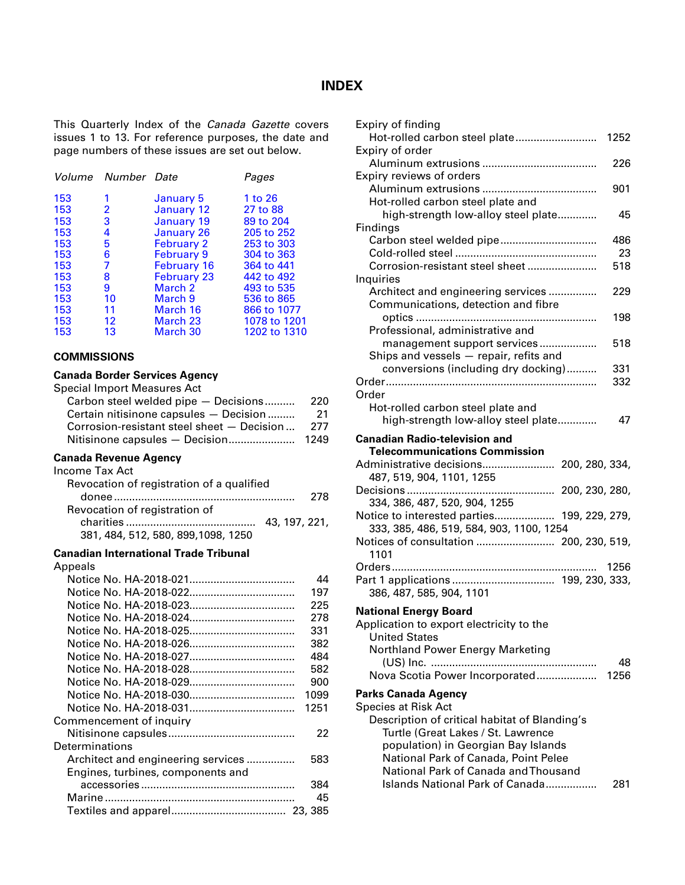### **INDEX**

<span id="page-2-0"></span>This Quarterly Index of the *Canada Gazette* covers issues 1 to 13. For reference purposes, the date and page numbers of these issues are set out below.

|     | Volume Number Date |                    | Pages        |
|-----|--------------------|--------------------|--------------|
| 153 | 1                  | January 5          | 1 to 26      |
| 153 | 2                  | January 12         | 27 to 88     |
| 153 | 3                  | January 19         | 89 to 204    |
| 153 | 4                  | <b>January 26</b>  | 205 to 252   |
| 153 | 5                  | <b>February 2</b>  | 253 to 303   |
| 153 | 6                  | <b>February 9</b>  | 304 to 363   |
| 153 | 7                  | <b>February 16</b> | 364 to 441   |
| 153 | 8                  | <b>February 23</b> | 442 to 492   |
| 153 | 9                  | March 2            | 493 to 535   |
| 153 | 10                 | March 9            | 536 to 865   |
| 153 | 11                 | March 16           | 866 to 1077  |
| 153 | 12                 | March 23           | 1078 to 1201 |
| 153 | 13                 | March 30           | 1202 to 1310 |

#### **COMMISSIONS**

#### **Canada Border Services Agency**

| <b>Special Import Measures Act</b><br>Carbon steel welded pipe - Decisions | 220<br>21 |
|----------------------------------------------------------------------------|-----------|
| Certain nitisinone capsules - Decision                                     |           |
| Corrosion-resistant steel sheet - Decision                                 | 277       |
| Nitisinone capsules - Decision                                             | 1249      |
| <b>Canada Revenue Agency</b><br><b>Income Tax Act</b>                      |           |
| Revocation of registration of a qualified                                  | 278       |
| Revocation of registration of                                              |           |
| 43, 197, 221,<br>381, 484, 512, 580, 899, 1098, 1250                       |           |
| <b>Canadian International Trade Tribunal</b>                               |           |
| Appeals                                                                    |           |
|                                                                            | 44        |
|                                                                            | 197       |
|                                                                            | 225       |
|                                                                            | 278       |
|                                                                            | 331       |
|                                                                            | 382       |
|                                                                            | 484       |
|                                                                            | 582       |
|                                                                            | 900       |
|                                                                            | 1099      |
|                                                                            | 1251      |
| Commencement of inquiry                                                    |           |
|                                                                            | 22        |
| Determinations                                                             |           |
| Architect and engineering services                                         | 583       |
| Engines, turbines, components and                                          |           |
|                                                                            | 384       |
|                                                                            | 45        |
|                                                                            |           |
|                                                                            |           |

| Expiry of finding                                                                   |            |
|-------------------------------------------------------------------------------------|------------|
| Hot-rolled carbon steel plate                                                       | 1252       |
| Expiry of order                                                                     |            |
| Expiry reviews of orders                                                            | 226        |
|                                                                                     | 901        |
| Hot-rolled carbon steel plate and                                                   |            |
| high-strength low-alloy steel plate                                                 | 45         |
| Findings                                                                            |            |
| Carbon steel welded pipe                                                            | 486        |
|                                                                                     | 23         |
| Corrosion-resistant steel sheet                                                     | 518        |
| Inquiries                                                                           |            |
| Architect and engineering services                                                  | 229        |
| Communications, detection and fibre                                                 |            |
|                                                                                     | 198        |
| Professional, administrative and                                                    |            |
| management support services                                                         | 518        |
| Ships and vessels - repair, refits and                                              |            |
| conversions (including dry docking)                                                 | 331<br>332 |
| Order                                                                               |            |
| Hot-rolled carbon steel plate and                                                   |            |
| high-strength low-alloy steel plate                                                 | 47         |
|                                                                                     |            |
| <b>Canadian Radio-television and</b>                                                |            |
| <b>Telecommunications Commission</b>                                                |            |
|                                                                                     |            |
| 487, 519, 904, 1101, 1255                                                           |            |
|                                                                                     |            |
| Decisions<br>200, 230, 280,                                                         |            |
| 334, 386, 487, 520, 904, 1255                                                       |            |
| 199, 229, 279,<br>Notice to interested parties                                      |            |
| 333, 385, 486, 519, 584, 903, 1100, 1254                                            |            |
| Notices of consultation  200, 230, 519,<br>1101                                     |            |
|                                                                                     | 1256       |
|                                                                                     |            |
| 386, 487, 585, 904, 1101                                                            |            |
|                                                                                     |            |
| <b>National Energy Board</b>                                                        |            |
| Application to export electricity to the<br><b>United States</b>                    |            |
|                                                                                     |            |
| Northland Power Energy Marketing                                                    | 48         |
| Nova Scotia Power Incorporated                                                      | 1256       |
|                                                                                     |            |
| <b>Parks Canada Agency</b>                                                          |            |
| <b>Species at Risk Act</b>                                                          |            |
| Description of critical habitat of Blanding's<br>Turtle (Great Lakes / St. Lawrence |            |
| population) in Georgian Bay Islands                                                 |            |
| National Park of Canada, Point Pelee                                                |            |
| National Park of Canada and Thousand                                                |            |
| Islands National Park of Canada                                                     | 281        |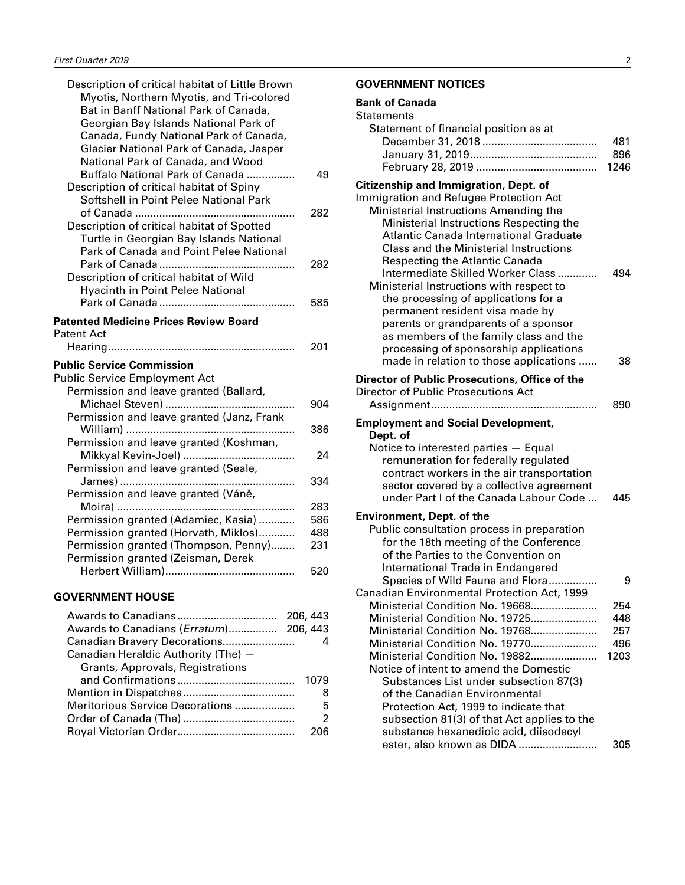<span id="page-3-0"></span>

| Description of critical habitat of Little Brown                                |            | G       |
|--------------------------------------------------------------------------------|------------|---------|
| Myotis, Northern Myotis, and Tri-colored                                       |            | B       |
| Bat in Banff National Park of Canada,<br>Georgian Bay Islands National Park of |            | S       |
| Canada, Fundy National Park of Canada,                                         |            |         |
| Glacier National Park of Canada, Jasper                                        |            |         |
| National Park of Canada, and Wood                                              |            |         |
| Buffalo National Park of Canada                                                | 49         |         |
| Description of critical habitat of Spiny                                       |            | C<br>Ir |
| Softshell in Point Pelee National Park                                         |            |         |
| Description of critical habitat of Spotted                                     | 282        |         |
| Turtle in Georgian Bay Islands National                                        |            |         |
| Park of Canada and Point Pelee National                                        |            |         |
|                                                                                | 282        |         |
| Description of critical habitat of Wild                                        |            |         |
| <b>Hyacinth in Point Pelee National</b>                                        |            |         |
|                                                                                | 585        |         |
| <b>Patented Medicine Prices Review Board</b>                                   |            |         |
| <b>Patent Act</b>                                                              |            |         |
|                                                                                | 201        |         |
| <b>Public Service Commission</b>                                               |            |         |
| <b>Public Service Employment Act</b>                                           |            | D       |
| Permission and leave granted (Ballard,                                         |            | D       |
| Michael Steven)                                                                | 904        |         |
| Permission and leave granted (Janz, Frank                                      | 386        | E       |
| Permission and leave granted (Koshman,                                         |            |         |
|                                                                                | 24         |         |
| Permission and leave granted (Seale,                                           |            |         |
|                                                                                | 334        |         |
| Permission and leave granted (Váně,                                            |            |         |
|                                                                                | 283        | E       |
| Permission granted (Adamiec, Kasia)<br>Permission granted (Horvath, Miklos)    | 586<br>488 |         |
| Permission granted (Thompson, Penny)                                           | 231        |         |
| Permission granted (Zeisman, Derek                                             |            |         |
|                                                                                | 520        |         |
|                                                                                |            |         |
| <b>SAIRAPAIR LIALIA</b>                                                        |            |         |

#### **GOVERNMENT HOUSE**

| 206, 443                                  |   |
|-------------------------------------------|---|
| Awards to Canadians (Erratum)<br>206, 443 |   |
| Canadian Bravery Decorations              |   |
| Canadian Heraldic Authority (The) -       |   |
| Grants, Approvals, Registrations          |   |
| 1079                                      |   |
|                                           | 8 |
| Meritorious Service Decorations           | 5 |
|                                           | 2 |
|                                           |   |

#### **GOVERNMENT NOTICES**

| <b>Bank of Canada</b> |  |  |  |
|-----------------------|--|--|--|
|-----------------------|--|--|--|

| <b>Statements</b>                                                                                                                                                                                                                                                                                                                                                                                                                                                                                                                                                                                                                         |                                  |
|-------------------------------------------------------------------------------------------------------------------------------------------------------------------------------------------------------------------------------------------------------------------------------------------------------------------------------------------------------------------------------------------------------------------------------------------------------------------------------------------------------------------------------------------------------------------------------------------------------------------------------------------|----------------------------------|
| Statement of financial position as at                                                                                                                                                                                                                                                                                                                                                                                                                                                                                                                                                                                                     | 481<br>896<br>1246               |
| <b>Citizenship and Immigration, Dept. of</b><br>Immigration and Refugee Protection Act<br>Ministerial Instructions Amending the<br>Ministerial Instructions Respecting the<br>Atlantic Canada International Graduate<br>Class and the Ministerial Instructions<br><b>Respecting the Atlantic Canada</b><br>Intermediate Skilled Worker Class<br>Ministerial Instructions with respect to<br>the processing of applications for a<br>permanent resident visa made by<br>parents or grandparents of a sponsor<br>as members of the family class and the<br>processing of sponsorship applications<br>made in relation to those applications | 494<br>38                        |
| Director of Public Prosecutions, Office of the<br>Director of Public Prosecutions Act                                                                                                                                                                                                                                                                                                                                                                                                                                                                                                                                                     | 890                              |
| <b>Employment and Social Development,</b><br>Dept. of<br>Notice to interested parties - Equal<br>remuneration for federally regulated<br>contract workers in the air transportation<br>sector covered by a collective agreement<br>under Part I of the Canada Labour Code                                                                                                                                                                                                                                                                                                                                                                 | 445                              |
| <b>Environment, Dept. of the</b><br>Public consultation process in preparation<br>for the 18th meeting of the Conference<br>of the Parties to the Convention on<br>International Trade in Endangered<br>Species of Wild Fauna and Flora                                                                                                                                                                                                                                                                                                                                                                                                   | 9                                |
| Canadian Environmental Protection Act, 1999<br>Ministerial Condition No. 19668<br>Ministerial Condition No. 19725<br>Ministerial Condition No. 19768<br>Ministerial Condition No. 19770<br>Ministerial Condition No. 19882<br>Notice of intent to amend the Domestic<br>Substances List under subsection 87(3)<br>of the Canadian Environmental<br>Protection Act, 1999 to indicate that<br>subsection 81(3) of that Act applies to the<br>substance hexanedioic acid, diisodecyl                                                                                                                                                         | 254<br>448<br>257<br>496<br>1203 |
| ester, also known as DIDA                                                                                                                                                                                                                                                                                                                                                                                                                                                                                                                                                                                                                 | 305                              |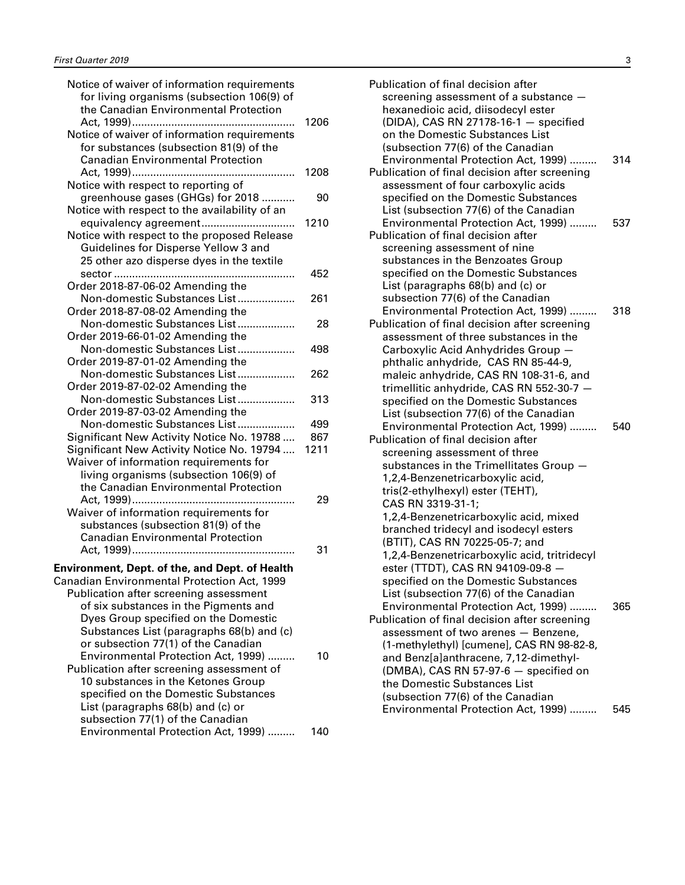| Notice of waiver of information requirements<br>for living organisms (subsection 106(9) of<br>the Canadian Environmental Protection                       |      |
|-----------------------------------------------------------------------------------------------------------------------------------------------------------|------|
| Notice of waiver of information requirements<br>for substances (subsection 81(9) of the<br><b>Canadian Environmental Protection</b>                       | 1206 |
| Notice with respect to reporting of                                                                                                                       | 1208 |
| greenhouse gases (GHGs) for 2018<br>Notice with respect to the availability of an                                                                         | 90   |
| equivalency agreement<br>Notice with respect to the proposed Release<br>Guidelines for Disperse Yellow 3 and<br>25 other azo disperse dyes in the textile | 1210 |
| Order 2018-87-06-02 Amending the                                                                                                                          | 452  |
| Non-domestic Substances List<br>Order 2018-87-08-02 Amending the                                                                                          | 261  |
| Non-domestic Substances List<br>Order 2019-66-01-02 Amending the                                                                                          | 28   |
| Non-domestic Substances List<br>Order 2019-87-01-02 Amending the                                                                                          | 498  |
| Non-domestic Substances List<br>Order 2019-87-02-02 Amending the                                                                                          | 262  |
| Non-domestic Substances List<br>Order 2019-87-03-02 Amending the                                                                                          | 313  |
| Non-domestic Substances List                                                                                                                              | 499  |
|                                                                                                                                                           | 867  |
| Significant New Activity Notice No. 19788                                                                                                                 | 1211 |
| Significant New Activity Notice No. 19794<br>Waiver of information requirements for                                                                       |      |
| living organisms (subsection 106(9) of                                                                                                                    |      |
| the Canadian Environmental Protection                                                                                                                     |      |
|                                                                                                                                                           | 29   |
| Waiver of information requirements for<br>substances (subsection 81(9) of the<br><b>Canadian Environmental Protection</b>                                 |      |
|                                                                                                                                                           | 31   |
| <b>Environment, Dept. of the, and Dept. of Health</b>                                                                                                     |      |
| Canadian Environmental Protection Act, 1999                                                                                                               |      |
| Publication after screening assessment                                                                                                                    |      |
| of six substances in the Pigments and                                                                                                                     |      |
| Dyes Group specified on the Domestic                                                                                                                      |      |
| Substances List (paragraphs 68(b) and (c)                                                                                                                 |      |
| or subsection 77(1) of the Canadian                                                                                                                       |      |
| Environmental Protection Act, 1999)                                                                                                                       | 10   |
| Publication after screening assessment of                                                                                                                 |      |
| 10 substances in the Ketones Group                                                                                                                        |      |
| specified on the Domestic Substances                                                                                                                      |      |
| List (paragraphs 68(b) and (c) or                                                                                                                         |      |
| subsection 77(1) of the Canadian                                                                                                                          |      |
| Environmental Protection Act, 1999)                                                                                                                       | 140  |

| Publication of final decision after<br>screening assessment of a substance -<br>hexanedioic acid, diisodecyl ester<br>(DIDA), CAS RN 27178-16-1 - specified<br>on the Domestic Substances List<br>(subsection 77(6) of the Canadian |     |
|-------------------------------------------------------------------------------------------------------------------------------------------------------------------------------------------------------------------------------------|-----|
| Environmental Protection Act, 1999)<br>Publication of final decision after screening<br>assessment of four carboxylic acids<br>specified on the Domestic Substances<br>List (subsection 77(6) of the Canadian                       | 314 |
| Environmental Protection Act, 1999)<br>Publication of final decision after<br>screening assessment of nine                                                                                                                          | 537 |
| substances in the Benzoates Group<br>specified on the Domestic Substances<br>List (paragraphs 68(b) and (c) or                                                                                                                      |     |
| subsection 77(6) of the Canadian<br>Environmental Protection Act, 1999)<br>Publication of final decision after screening                                                                                                            | 318 |
| assessment of three substances in the<br>Carboxylic Acid Anhydrides Group -<br>phthalic anhydride, CAS RN 85-44-9,<br>maleic anhydride, CAS RN 108-31-6, and<br>trimellitic anhydride, CAS RN 552-30-7 -                            |     |
| specified on the Domestic Substances<br>List (subsection 77(6) of the Canadian<br>Environmental Protection Act, 1999)<br>Publication of final decision after                                                                        | 540 |
| screening assessment of three<br>substances in the Trimellitates Group -<br>1,2,4-Benzenetricarboxylic acid,<br>tris(2-ethylhexyl) ester (TEHT),                                                                                    |     |
| CAS RN 3319-31-1;<br>1,2,4-Benzenetricarboxylic acid, mixed<br>branched tridecyl and isodecyl esters                                                                                                                                |     |
| (BTIT), CAS RN 70225-05-7; and<br>1,2,4-Benzenetricarboxylic acid, tritridecyl<br>ester (TTDT), CAS RN 94109-09-8 -                                                                                                                 |     |
| specified on the Domestic Substances<br>List (subsection 77(6) of the Canadian<br>Environmental Protection Act, 1999)                                                                                                               | 365 |
| Publication of final decision after screening<br>assessment of two arenes - Benzene,<br>(1-methylethyl) [cumene], CAS RN 98-82-8,<br>and Benz[a]anthracene, 7,12-dimethyl-<br>(DMBA), CAS RN 57-97-6 - specified on                 |     |
| the Domestic Substances List<br>(subsection 77(6) of the Canadian<br>Environmental Protection Act, 1999)                                                                                                                            | 545 |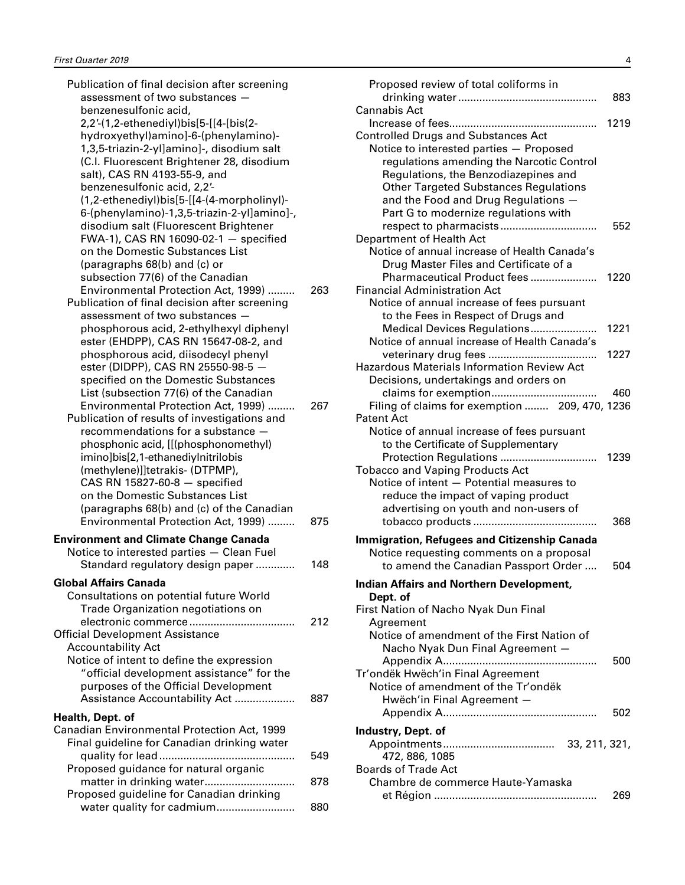| Publication of final decision after screening |     |
|-----------------------------------------------|-----|
| assessment of two substances -                |     |
| benzenesulfonic acid,                         |     |
| 2,2'-(1,2-ethenediyl)bis[5-[[4-[bis(2-        |     |
| hydroxyethyl)amino]-6-(phenylamino)-          |     |
| 1,3,5-triazin-2-yl]amino]-, disodium salt     |     |
| (C.I. Fluorescent Brightener 28, disodium     |     |
| salt), CAS RN 4193-55-9, and                  |     |
| benzenesulfonic acid, 2,2'-                   |     |
| (1,2-ethenediyl)bis[5-[[4-(4-morpholinyl)-    |     |
| 6-(phenylamino)-1,3,5-triazin-2-yl]amino]-,   |     |
| disodium salt (Fluorescent Brightener         |     |
| FWA-1), CAS RN 16090-02-1 - specified         |     |
| on the Domestic Substances List               |     |
| (paragraphs 68(b) and (c) or                  |     |
| subsection 77(6) of the Canadian              |     |
| Environmental Protection Act, 1999)           | 263 |
| Publication of final decision after screening |     |
| assessment of two substances -                |     |
| phosphorous acid, 2-ethylhexyl diphenyl       |     |
| ester (EHDPP), CAS RN 15647-08-2, and         |     |
| phosphorous acid, diisodecyl phenyl           |     |
| ester (DIDPP), CAS RN 25550-98-5 -            |     |
| specified on the Domestic Substances          |     |
| List (subsection 77(6) of the Canadian        |     |
| Environmental Protection Act, 1999)           | 267 |
| Publication of results of investigations and  |     |
| recommendations for a substance               |     |
| phosphonic acid, [[(phosphonomethyl)          |     |
| imino]bis[2,1-ethanediyInitrilobis            |     |
| (methylene)]]tetrakis- (DTPMP),               |     |
| CAS RN 15827-60-8 $-$ specified               |     |
| on the Domestic Substances List               |     |
| (paragraphs 68(b) and (c) of the Canadian     |     |
| Environmental Protection Act, 1999)           | 875 |
|                                               |     |
| <b>Environment and Climate Change Canada</b>  |     |
| Notice to interested parties - Clean Fuel     |     |
| Standard regulatory design paper              | 148 |
| Global Affairs Canada                         |     |
| Consultations on potential future World       |     |
| Trade Organization negotiations on            |     |
|                                               | 212 |
| <b>Official Development Assistance</b>        |     |
| <b>Accountability Act</b>                     |     |
| Notice of intent to define the expression     |     |
| "official development assistance" for the     |     |
| purposes of the Official Development          |     |
| Assistance Accountability Act                 | 887 |
|                                               |     |
| Health, Dept. of                              |     |
| Canadian Environmental Protection Act, 1999   |     |
| Final guideline for Canadian drinking water   |     |
|                                               | 549 |
| Proposed guidance for natural organic         |     |
|                                               | 878 |
| Proposed guideline for Canadian drinking      |     |
| water quality for cadmium                     | 880 |

| Proposed review of total coliforms in                                              | 883  |
|------------------------------------------------------------------------------------|------|
| Cannabis Act                                                                       |      |
| Increase of fees<br>.                                                              | 1219 |
| <b>Controlled Drugs and Substances Act</b>                                         |      |
| Notice to interested parties - Proposed                                            |      |
| regulations amending the Narcotic Control                                          |      |
| Regulations, the Benzodiazepines and                                               |      |
| <b>Other Targeted Substances Regulations</b>                                       |      |
| and the Food and Drug Regulations -                                                |      |
| Part G to modernize regulations with                                               |      |
|                                                                                    | 552  |
| Department of Health Act                                                           |      |
| Notice of annual increase of Health Canada's                                       |      |
| Drug Master Files and Certificate of a                                             |      |
| Pharmaceutical Product fees                                                        | 1220 |
| <b>Financial Administration Act</b>                                                |      |
| Notice of annual increase of fees pursuant                                         |      |
| to the Fees in Respect of Drugs and                                                |      |
| Medical Devices Regulations                                                        | 1221 |
| Notice of annual increase of Health Canada's                                       |      |
| veterinary drug fees                                                               | 1227 |
| <b>Hazardous Materials Information Review Act</b>                                  |      |
| Decisions, undertakings and orders on                                              |      |
| claims for exemption                                                               | 460  |
| Filing of claims for exemption  209, 470, 1236<br><b>Patent Act</b>                |      |
|                                                                                    |      |
| Notice of annual increase of fees pursuant                                         |      |
| to the Certificate of Supplementary                                                |      |
|                                                                                    | 1239 |
| <b>Tobacco and Vaping Products Act</b><br>Notice of intent - Potential measures to |      |
|                                                                                    |      |
| reduce the impact of vaping product<br>advertising on youth and non-users of       |      |
|                                                                                    | 368  |
|                                                                                    |      |
| <b>Immigration, Refugees and Citizenship Canada</b>                                |      |
| Notice requesting comments on a proposal                                           |      |
| to amend the Canadian Passport Order                                               | 504  |
| <b>Indian Affairs and Northern Development,</b>                                    |      |
| Dept. of                                                                           |      |
| First Nation of Nacho Nyak Dun Final                                               |      |
| Agreement                                                                          |      |
| Notice of amendment of the First Nation of                                         |      |
| Nacho Nyak Dun Final Agreement -                                                   |      |
|                                                                                    | 500  |
| Tr'ondëk Hwëch'in Final Agreement                                                  |      |
| Notice of amendment of the Tr'ondëk                                                |      |
| Hwëch'in Final Agreement -                                                         |      |
|                                                                                    | 502  |
| Industry, Dept. of                                                                 |      |
|                                                                                    |      |
| 472, 886, 1085                                                                     |      |
| <b>Boards of Trade Act</b>                                                         |      |
| Chambre de commerce Haute-Yamaska                                                  |      |
|                                                                                    | 269  |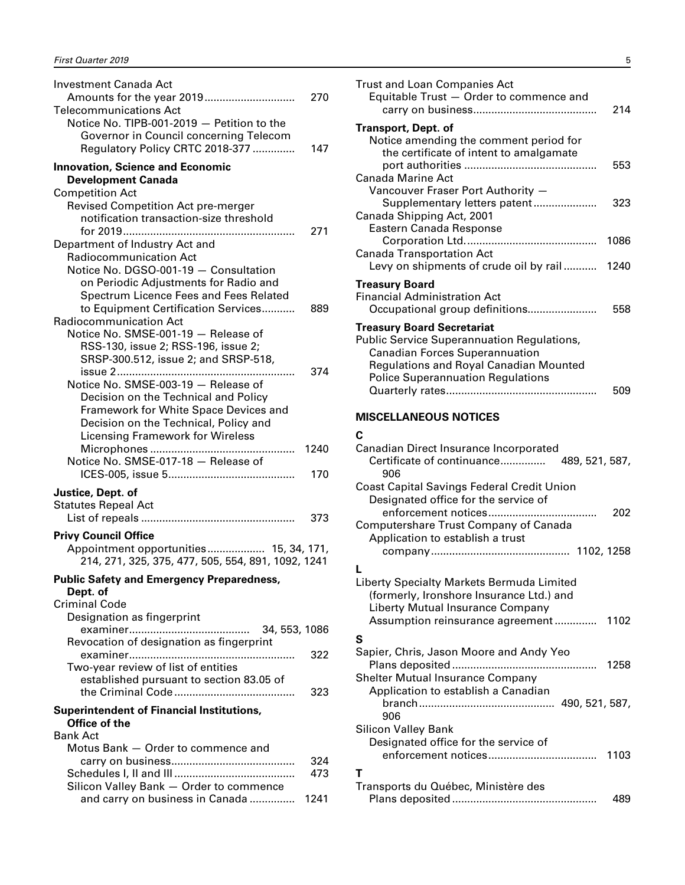<span id="page-6-0"></span>

| <b>Investment Canada Act</b><br><b>Telecommunications Act</b>                                                           | 270  |
|-------------------------------------------------------------------------------------------------------------------------|------|
| Notice No. TIPB-001-2019 - Petition to the<br>Governor in Council concerning Telecom<br>Regulatory Policy CRTC 2018-377 | 147  |
| <b>Innovation, Science and Economic</b>                                                                                 |      |
| <b>Development Canada</b>                                                                                               |      |
| <b>Competition Act</b><br>Revised Competition Act pre-merger                                                            |      |
| notification transaction-size threshold                                                                                 | 271  |
| Department of Industry Act and                                                                                          |      |
| <b>Radiocommunication Act</b>                                                                                           |      |
| Notice No. DGSO-001-19 - Consultation                                                                                   |      |
| on Periodic Adjustments for Radio and                                                                                   |      |
| Spectrum Licence Fees and Fees Related                                                                                  |      |
| to Equipment Certification Services<br><b>Radiocommunication Act</b>                                                    | 889  |
| Notice No. SMSE-001-19 - Release of                                                                                     |      |
| RSS-130, issue 2; RSS-196, issue 2;                                                                                     |      |
| SRSP-300.512, issue 2; and SRSP-518,                                                                                    |      |
|                                                                                                                         | 374  |
| Notice No. SMSE-003-19 - Release of                                                                                     |      |
| Decision on the Technical and Policy                                                                                    |      |
| Framework for White Space Devices and                                                                                   |      |
| Decision on the Technical, Policy and                                                                                   |      |
| <b>Licensing Framework for Wireless</b>                                                                                 | 1240 |
| Notice No. SMSE-017-18 - Release of                                                                                     |      |
|                                                                                                                         | 170  |
| Justice, Dept. of                                                                                                       |      |
| <b>Statutes Repeal Act</b>                                                                                              |      |
|                                                                                                                         | 373  |
| <b>Privy Council Office</b>                                                                                             |      |
| Appointment opportunities 15, 34, 171,<br>214, 271, 325, 375, 477, 505, 554, 891, 1092, 1241                            |      |
| <b>Public Safety and Emergency Preparedness,</b>                                                                        |      |
| Dept. of                                                                                                                |      |
| <b>Criminal Code</b>                                                                                                    |      |
| Designation as fingerprint                                                                                              |      |
| 34, 553, 1086<br>Revocation of designation as fingerprint                                                               |      |
|                                                                                                                         | 322  |
| Two-year review of list of entities                                                                                     |      |
| established pursuant to section 83.05 of                                                                                |      |
|                                                                                                                         | 323  |
| <b>Superintendent of Financial Institutions,</b>                                                                        |      |
| Office of the                                                                                                           |      |
| <b>Bank Act</b>                                                                                                         |      |
| Motus Bank - Order to commence and                                                                                      |      |
|                                                                                                                         | 324  |
|                                                                                                                         | 473  |
| Silicon Valley Bank - Order to commence                                                                                 | 1241 |
| and carry on business in Canada                                                                                         |      |

| <b>Trust and Loan Companies Act</b><br>Equitable Trust - Order to commence and<br>214                                                                                                                                               |
|-------------------------------------------------------------------------------------------------------------------------------------------------------------------------------------------------------------------------------------|
| Transport, Dept. of<br>Notice amending the comment period for                                                                                                                                                                       |
| the certificate of intent to amalgamate<br>553<br><b>Canada Marine Act</b>                                                                                                                                                          |
| Vancouver Fraser Port Authority -<br>Supplementary letters patent<br>323<br>Canada Shipping Act, 2001                                                                                                                               |
| Eastern Canada Response<br>1086                                                                                                                                                                                                     |
| <b>Canada Transportation Act</b><br>Levy on shipments of crude oil by rail<br>1240                                                                                                                                                  |
| <b>Treasury Board</b>                                                                                                                                                                                                               |
| <b>Financial Administration Act</b><br>Occupational group definitions<br>558                                                                                                                                                        |
| <b>Treasury Board Secretariat</b><br><b>Public Service Superannuation Regulations,</b><br><b>Canadian Forces Superannuation</b><br><b>Regulations and Royal Canadian Mounted</b><br><b>Police Superannuation Regulations</b><br>509 |
| <b>MISCELLANEOUS NOTICES</b>                                                                                                                                                                                                        |
| C                                                                                                                                                                                                                                   |
| Canadian Direct Insurance Incorporated<br>Certificate of continuance<br>489, 521, 587,<br>906                                                                                                                                       |
|                                                                                                                                                                                                                                     |
| <b>Coast Capital Savings Federal Credit Union</b><br>Designated office for the service of                                                                                                                                           |
| enforcement notices<br>202<br>Computershare Trust Company of Canada<br>Application to establish a trust                                                                                                                             |
|                                                                                                                                                                                                                                     |
| L<br>Liberty Specialty Markets Bermuda Limited<br>(formerly, Ironshore Insurance Ltd.) and                                                                                                                                          |
| Liberty Mutual Insurance Company<br>Assumption reinsurance agreement 1102                                                                                                                                                           |
| S                                                                                                                                                                                                                                   |
| Sapier, Chris, Jason Moore and Andy Yeo<br>1258                                                                                                                                                                                     |
| <b>Shelter Mutual Insurance Company</b><br>Application to establish a Canadian                                                                                                                                                      |
|                                                                                                                                                                                                                                     |
| 906                                                                                                                                                                                                                                 |
| <b>Silicon Valley Bank</b><br>Designated office for the service of                                                                                                                                                                  |
| т                                                                                                                                                                                                                                   |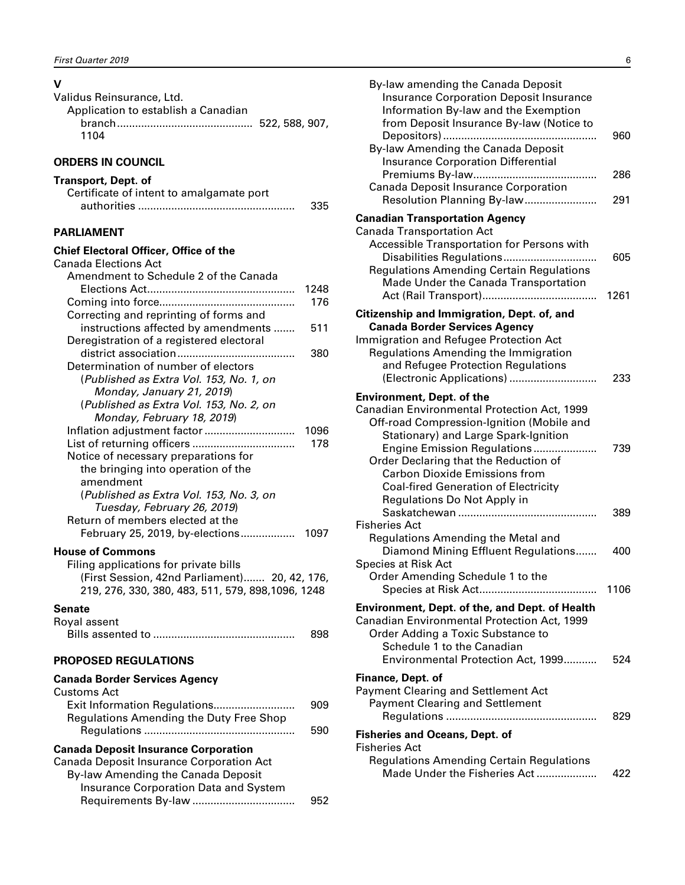## <span id="page-7-0"></span>**V**

| Validus Reinsurance, Ltd.           |  |
|-------------------------------------|--|
| Application to establish a Canadian |  |
|                                     |  |
| 1104                                |  |

#### **ORDERS IN COUNCIL**

#### **Transport, Dept. of**

| Certificate of intent to amalgamate port |     |
|------------------------------------------|-----|
|                                          | 335 |

#### **PARLIAMENT**

#### **Chief Electoral Officer, Office of the**

| Canada Elections Act                               |      |
|----------------------------------------------------|------|
| Amendment to Schedule 2 of the Canada              |      |
|                                                    | 1248 |
|                                                    | 176  |
| Correcting and reprinting of forms and             |      |
| instructions affected by amendments                | 511  |
| Deregistration of a registered electoral           |      |
|                                                    | 380  |
| Determination of number of electors                |      |
| (Published as Extra Vol. 153, No. 1, on            |      |
| Monday, January 21, 2019)                          |      |
| (Published as Extra Vol. 153, No. 2, on            |      |
| Monday, February 18, 2019)                         |      |
| Inflation adjustment factor                        | 1096 |
|                                                    | 178  |
| Notice of necessary preparations for               |      |
| the bringing into operation of the                 |      |
| amendment                                          |      |
| (Published as Extra Vol. 153, No. 3, on            |      |
| Tuesday, February 26, 2019)                        |      |
| Return of members elected at the                   |      |
| February 25, 2019, by-elections                    | 1097 |
| <b>House of Commons</b>                            |      |
| Filing applications for private bills              |      |
| (First Session, 42nd Parliament) 20, 42, 176,      |      |
| 219, 276, 330, 380, 483, 511, 579, 898, 1096, 1248 |      |
|                                                    |      |
| Senate                                             |      |
| Royal assent                                       |      |
|                                                    | 898  |
| <b>PROPOSED REGULATIONS</b>                        |      |
| Canada Border Services Agency                      |      |
| Customs Act                                        |      |
| Exit Information Regulations                       | 909  |
| Regulations Amending the Duty Free Shop            |      |
|                                                    | 590  |
|                                                    |      |
| <b>Canada Deposit Insurance Corporation</b>        |      |
| Canada Deposit Insurance Corporation Act           |      |
| By-law Amending the Canada Deposit                 |      |

Insurance Corporation Data and System

Requirements By-law .................................. 952

| By-law amending the Canada Deposit<br><b>Insurance Corporation Deposit Insurance</b><br>Information By-law and the Exemption<br>from Deposit Insurance By-law (Notice to                                                                                                                                                                                           | 960         |
|--------------------------------------------------------------------------------------------------------------------------------------------------------------------------------------------------------------------------------------------------------------------------------------------------------------------------------------------------------------------|-------------|
| By-law Amending the Canada Deposit<br><b>Insurance Corporation Differential</b><br>Canada Deposit Insurance Corporation<br>Resolution Planning By-law                                                                                                                                                                                                              | 286<br>291  |
| <b>Canadian Transportation Agency</b><br><b>Canada Transportation Act</b><br>Accessible Transportation for Persons with<br>Disabilities Regulations<br><b>Regulations Amending Certain Regulations</b><br>Made Under the Canada Transportation                                                                                                                     | 605<br>1261 |
| Citizenship and Immigration, Dept. of, and<br><b>Canada Border Services Agency</b><br>Immigration and Refugee Protection Act<br>Regulations Amending the Immigration<br>and Refugee Protection Regulations<br>(Electronic Applications)                                                                                                                            | 233         |
| <b>Environment, Dept. of the</b><br>Canadian Environmental Protection Act, 1999<br>Off-road Compression-Ignition (Mobile and<br>Stationary) and Large Spark-Ignition<br>Engine Emission Regulations<br>Order Declaring that the Reduction of<br><b>Carbon Dioxide Emissions from</b><br><b>Coal-fired Generation of Electricity</b><br>Regulations Do Not Apply in | 739         |
| <b>Fisheries Act</b><br>Regulations Amending the Metal and<br>Diamond Mining Effluent Regulations<br>Species at Risk Act<br>Order Amending Schedule 1 to the                                                                                                                                                                                                       | 389<br>400  |
| <b>Environment, Dept. of the, and Dept. of Health</b><br>Canadian Environmental Protection Act, 1999<br>Order Adding a Toxic Substance to<br>Schedule 1 to the Canadian<br>Environmental Protection Act, 1999                                                                                                                                                      | 1106<br>524 |
| Finance, Dept. of<br>Payment Clearing and Settlement Act<br><b>Payment Clearing and Settlement</b>                                                                                                                                                                                                                                                                 | 829         |
| <b>Fisheries and Oceans, Dept. of</b><br>Fisheries Act<br><b>Regulations Amending Certain Regulations</b>                                                                                                                                                                                                                                                          |             |

Made Under the Fisheries Act .................... 422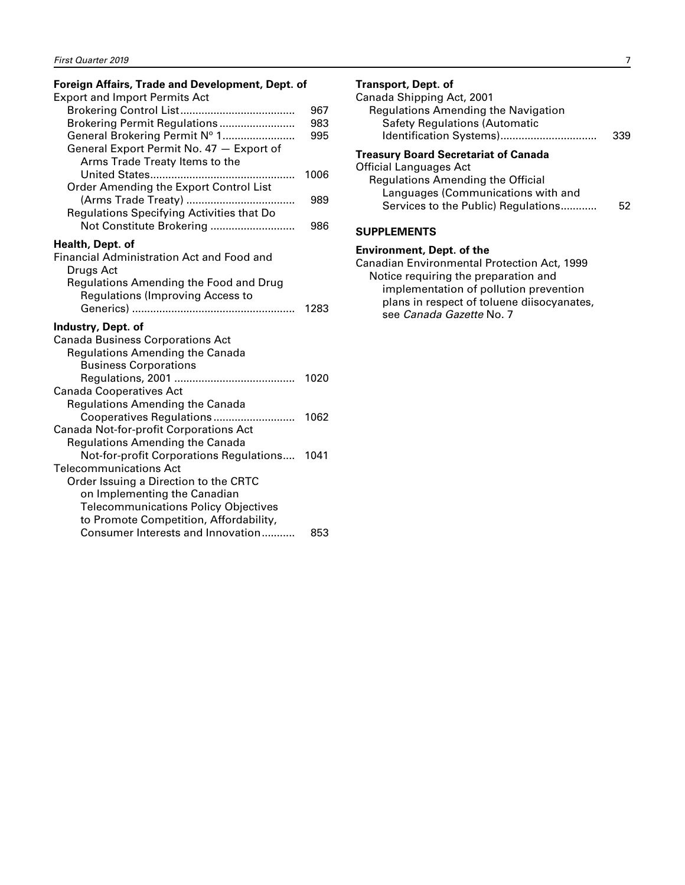#### <span id="page-8-0"></span>**Foreign Affairs, Trade and Development, Dept. of**

| <b>Export and Import Permits Act</b>                                                                                                                  |                   |
|-------------------------------------------------------------------------------------------------------------------------------------------------------|-------------------|
| Brokering Permit Regulations<br>General Brokering Permit Nº 1<br>General Export Permit No. 47 - Export of<br>Arms Trade Treaty Items to the           | 967<br>983<br>995 |
| .<br>Order Amending the Export Control List                                                                                                           | 1006              |
| Regulations Specifying Activities that Do                                                                                                             | 989               |
| Not Constitute Brokering                                                                                                                              | 986               |
| Health, Dept. of<br>Financial Administration Act and Food and<br>Drugs Act                                                                            |                   |
| Regulations Amending the Food and Drug<br><b>Regulations (Improving Access to</b>                                                                     | 1283              |
| Industry, Dept. of<br><b>Canada Business Corporations Act</b>                                                                                         |                   |
| <b>Regulations Amending the Canada</b><br><b>Business Corporations</b>                                                                                |                   |
| <b>Canada Cooperatives Act</b>                                                                                                                        | 1020              |
| <b>Regulations Amending the Canada</b><br>Cooperatives Regulations<br>Canada Not-for-profit Corporations Act                                          | 1062              |
| <b>Regulations Amending the Canada</b><br>Not-for-profit Corporations Regulations                                                                     | 1041              |
| <b>Telecommunications Act</b><br>Order Issuing a Direction to the CRTC<br>on Implementing the Canadian<br><b>Telecommunications Policy Objectives</b> |                   |
| to Promote Competition, Affordability,<br>Consumer Interests and Innovation                                                                           | 853               |

#### **Transport, Dept. of**

| Canada Shipping Act, 2001                   |    |
|---------------------------------------------|----|
| <b>Regulations Amending the Navigation</b>  |    |
| <b>Safety Regulations (Automatic</b>        |    |
| Identification Systems)                     |    |
| <b>Treasury Board Secretariat of Canada</b> |    |
| <b>Official Languages Act</b>               |    |
| <b>Regulations Amending the Official</b>    |    |
| Languages (Communications with and          |    |
| Services to the Public) Regulations         | 52 |
|                                             |    |
|                                             |    |

#### **SUPPLEMENTS**

#### **Environment, Dept. of the**

Canadian Environmental Protection Act, 1999 Notice requiring the preparation and implementation of pollution prevention plans in respect of toluene diisocyanates, see *Canada Gazette* No. 7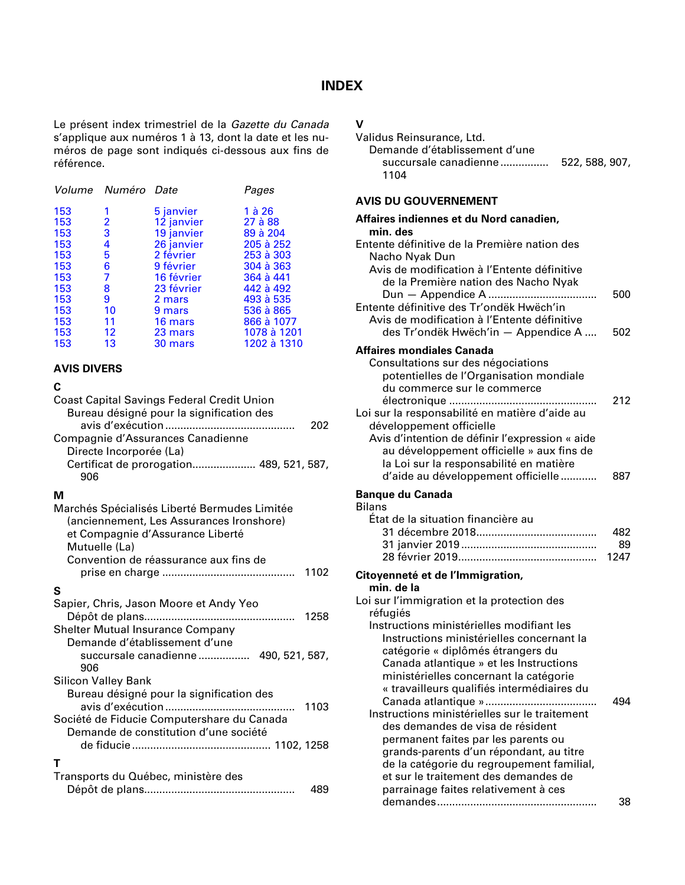#### **INDEX**

<span id="page-9-0"></span>Le présent index trimestriel de la *Gazette du Canada* s'applique aux numéros 1 à 13, dont la date et les numéros de page sont indiqués ci-dessous aux fins de référence.

|     | Volume Numéro Date |            | Pages       |
|-----|--------------------|------------|-------------|
| 153 | 1                  | 5 janvier  | 1 à 26      |
| 153 | 2                  | 12 janvier | 27 à 88     |
| 153 | 3                  | 19 janvier | 89 à 204    |
| 153 | 4                  | 26 janvier | 205 à 252   |
| 153 | 5                  | 2 février  | 253 à 303   |
| 153 | 6                  | 9 février  | 304 à 363   |
| 153 | 7                  | 16 février | 364 à 441   |
| 153 | 8                  | 23 février | 442 à 492   |
| 153 | 9                  | 2 mars     | 493 à 535   |
| 153 | 10                 | 9 mars     | 536 à 865   |
| 153 | 11                 | 16 mars    | 866 à 1077  |
| 153 | $12 \,$            | 23 mars    | 1078 à 1201 |
| 153 | 13                 | 30 mars    | 1202 à 1310 |
|     |                    |            |             |

#### **AVIS DIVERS**

#### **C**

| <b>Coast Capital Savings Federal Credit Union</b><br>Bureau désigné pour la signification des |     |
|-----------------------------------------------------------------------------------------------|-----|
|                                                                                               | 202 |
| Compagnie d'Assurances Canadienne                                                             |     |
| Directe Incorporée (La)                                                                       |     |
| Certificat de prorogation 489, 521, 587,                                                      |     |
| 906                                                                                           |     |
|                                                                                               |     |

| Marchés Spécialisés Liberté Bermudes Limitée<br>(anciennement, Les Assurances Ironshore)<br>et Compagnie d'Assurance Liberté<br>Mutuelle (La)<br>Convention de réassurance aux fins de<br>1102 |
|------------------------------------------------------------------------------------------------------------------------------------------------------------------------------------------------|
|                                                                                                                                                                                                |
| S<br>Sapier, Chris, Jason Moore et Andy Yeo<br>1258<br><b>Shelter Mutual Insurance Company</b><br>Demande d'établissement d'une<br>succursale canadienne 490, 521, 587,<br>906                 |
| <b>Silicon Valley Bank</b>                                                                                                                                                                     |
| Bureau désigné pour la signification des<br>Société de Fiducie Computershare du Canada<br>Demande de constitution d'une société                                                                |
| т<br>Transports du Québec, ministère des                                                                                                                                                       |
| 489                                                                                                                                                                                            |

## **V**

| Validus Reinsurance. Ltd.     |                |
|-------------------------------|----------------|
| Demande d'établissement d'une |                |
| succursale canadienne         | 522, 588, 907, |
| 1104                          |                |
|                               |                |

#### **AVIS DU GOUVERNEMENT**

| Affaires indiennes et du Nord canadien,                                                                                                                                                                                                                                                                                                                                                                                                                                                                                                                            |                   |
|--------------------------------------------------------------------------------------------------------------------------------------------------------------------------------------------------------------------------------------------------------------------------------------------------------------------------------------------------------------------------------------------------------------------------------------------------------------------------------------------------------------------------------------------------------------------|-------------------|
| min. des<br>Entente définitive de la Première nation des<br>Nacho Nyak Dun                                                                                                                                                                                                                                                                                                                                                                                                                                                                                         |                   |
| Avis de modification à l'Entente définitive<br>de la Première nation des Nacho Nyak<br>Entente définitive des Tr'ondëk Hwëch'in<br>Avis de modification à l'Entente définitive<br>des Tr'ondëk Hwëch'in - Appendice A                                                                                                                                                                                                                                                                                                                                              | 500<br>502        |
| <b>Affaires mondiales Canada</b>                                                                                                                                                                                                                                                                                                                                                                                                                                                                                                                                   |                   |
| Consultations sur des négociations<br>potentielles de l'Organisation mondiale<br>du commerce sur le commerce<br>Loi sur la responsabilité en matière d'aide au<br>développement officielle<br>Avis d'intention de définir l'expression « aide<br>au développement officielle » aux fins de<br>la Loi sur la responsabilité en matière<br>d'aide au développement officielle                                                                                                                                                                                        | 212<br>887        |
| <b>Banque du Canada</b><br><b>Bilans</b>                                                                                                                                                                                                                                                                                                                                                                                                                                                                                                                           |                   |
| État de la situation financière au                                                                                                                                                                                                                                                                                                                                                                                                                                                                                                                                 | 482<br>89<br>1247 |
| Citoyenneté et de l'Immigration,                                                                                                                                                                                                                                                                                                                                                                                                                                                                                                                                   |                   |
| min. de la<br>Loi sur l'immigration et la protection des<br>réfugiés                                                                                                                                                                                                                                                                                                                                                                                                                                                                                               |                   |
| Instructions ministérielles modifiant les<br>Instructions ministérielles concernant la<br>catégorie « diplômés étrangers du<br>Canada atlantique » et les Instructions<br>ministérielles concernant la catégorie<br>« travailleurs qualifiés intermédiaires du<br>Instructions ministérielles sur le traitement<br>des demandes de visa de résident<br>permanent faites par les parents ou<br>grands-parents d'un répondant, au titre<br>de la catégorie du regroupement familial,<br>et sur le traitement des demandes de<br>parrainage faites relativement à ces | 494               |
| demandes                                                                                                                                                                                                                                                                                                                                                                                                                                                                                                                                                           | 38                |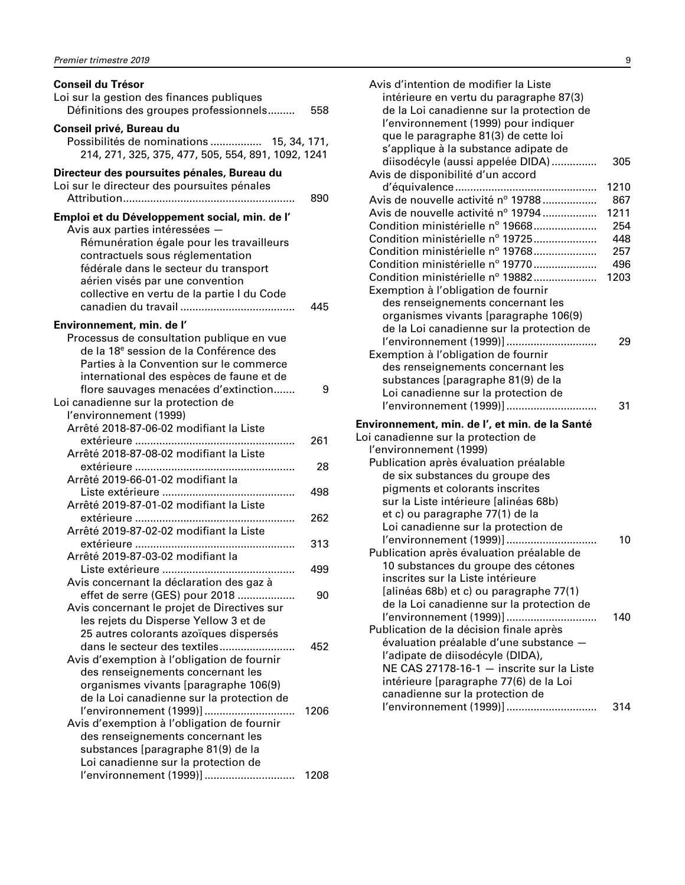| <b>Conseil du Trésor</b>                                                                        |      |
|-------------------------------------------------------------------------------------------------|------|
| Loi sur la gestion des finances publiques                                                       |      |
| Définitions des groupes professionnels                                                          | 558  |
| Conseil privé, Bureau du                                                                        |      |
| Possibilités de nominations  15, 34, 171,<br>214, 271, 325, 375, 477, 505, 554, 891, 1092, 1241 |      |
| Directeur des poursuites pénales, Bureau du                                                     |      |
| Loi sur le directeur des poursuites pénales                                                     |      |
|                                                                                                 | 890  |
| Emploi et du Développement social, min. de l'                                                   |      |
| Avis aux parties intéressées -                                                                  |      |
| Rémunération égale pour les travailleurs                                                        |      |
| contractuels sous réglementation                                                                |      |
| fédérale dans le secteur du transport                                                           |      |
| aérien visés par une convention                                                                 |      |
| collective en vertu de la partie I du Code                                                      |      |
|                                                                                                 | 445  |
| Environnement, min. de l'                                                                       |      |
| Processus de consultation publique en vue                                                       |      |
| de la 18 <sup>e</sup> session de la Conférence des                                              |      |
| Parties à la Convention sur le commerce                                                         |      |
| international des espèces de faune et de                                                        |      |
| flore sauvages menacées d'extinction                                                            | 9    |
| Loi canadienne sur la protection de                                                             |      |
| l'environnement (1999)                                                                          |      |
| Arrêté 2018-87-06-02 modifiant la Liste                                                         |      |
| Arrêté 2018-87-08-02 modifiant la Liste                                                         | 261  |
|                                                                                                 | 28   |
| Arrêté 2019-66-01-02 modifiant la                                                               |      |
|                                                                                                 | 498  |
| Arrêté 2019-87-01-02 modifiant la Liste                                                         |      |
|                                                                                                 | 262  |
| Arrêté 2019-87-02-02 modifiant la Liste                                                         |      |
|                                                                                                 | 313  |
| Arrêté 2019-87-03-02 modifiant la                                                               |      |
|                                                                                                 | 499  |
| Avis concernant la déclaration des gaz à                                                        |      |
| effet de serre (GES) pour 2018                                                                  | 90   |
| Avis concernant le projet de Directives sur                                                     |      |
| les rejets du Disperse Yellow 3 et de<br>25 autres colorants azoïques dispersés                 |      |
| dans le secteur des textiles                                                                    | 452  |
| Avis d'exemption à l'obligation de fournir                                                      |      |
| des renseignements concernant les                                                               |      |
| organismes vivants [paragraphe 106(9)                                                           |      |
| de la Loi canadienne sur la protection de                                                       |      |
| l'environnement (1999)]                                                                         | 1206 |
| Avis d'exemption à l'obligation de fournir                                                      |      |
| des renseignements concernant les                                                               |      |
| substances [paragraphe 81(9) de la                                                              |      |
| Loi canadienne sur la protection de                                                             |      |
| l'environnement (1999)]                                                                         | 1208 |

| Avis d'intention de modifier la Liste<br>intérieure en vertu du paragraphe 87(3)<br>de la Loi canadienne sur la protection de<br>l'environnement (1999) pour indiquer<br>que le paragraphe 81(3) de cette loi<br>s'applique à la substance adipate de |      |
|-------------------------------------------------------------------------------------------------------------------------------------------------------------------------------------------------------------------------------------------------------|------|
| diisodécyle (aussi appelée DIDA)<br>Avis de disponibilité d'un accord                                                                                                                                                                                 | 305  |
|                                                                                                                                                                                                                                                       | 1210 |
| Avis de nouvelle activité nº 19788                                                                                                                                                                                                                    | 867  |
| Avis de nouvelle activité nº 19794                                                                                                                                                                                                                    | 1211 |
| Condition ministérielle nº 19668                                                                                                                                                                                                                      | 254  |
| Condition ministérielle nº 19725                                                                                                                                                                                                                      | 448  |
| Condition ministérielle nº 19768                                                                                                                                                                                                                      | 257  |
| Condition ministérielle nº 19770                                                                                                                                                                                                                      | 496  |
| Condition ministérielle nº 19882                                                                                                                                                                                                                      | 1203 |
| Exemption à l'obligation de fournir                                                                                                                                                                                                                   |      |
| des renseignements concernant les                                                                                                                                                                                                                     |      |
| organismes vivants [paragraphe 106(9)                                                                                                                                                                                                                 |      |
| de la Loi canadienne sur la protection de                                                                                                                                                                                                             |      |
| l'environnement (1999)]                                                                                                                                                                                                                               | 29   |
| Exemption à l'obligation de fournir                                                                                                                                                                                                                   |      |
| des renseignements concernant les                                                                                                                                                                                                                     |      |
| substances [paragraphe 81(9) de la                                                                                                                                                                                                                    |      |
| Loi canadienne sur la protection de                                                                                                                                                                                                                   |      |
| l'environnement (1999)]                                                                                                                                                                                                                               | 31   |
| Environnement, min. de l', et min. de la Santé                                                                                                                                                                                                        |      |
| Loi canadienne sur la protection de                                                                                                                                                                                                                   |      |
| l'environnement (1999)                                                                                                                                                                                                                                |      |
| Publication après évaluation préalable                                                                                                                                                                                                                |      |
| de six substances du groupe des                                                                                                                                                                                                                       |      |
| pigments et colorants inscrites                                                                                                                                                                                                                       |      |
| sur la Liste intérieure [alinéas 68b)                                                                                                                                                                                                                 |      |
| et c) ou paragraphe 77(1) de la                                                                                                                                                                                                                       |      |
| Loi canadienne sur la protection de                                                                                                                                                                                                                   |      |
| l'environnement (1999)]                                                                                                                                                                                                                               | 10   |
| Publication après évaluation préalable de                                                                                                                                                                                                             |      |
| 10 substances du groupe des cétones                                                                                                                                                                                                                   |      |
| inscrites sur la Liste intérieure                                                                                                                                                                                                                     |      |
|                                                                                                                                                                                                                                                       |      |
| [alinéas 68b) et c) ou paragraphe 77(1)                                                                                                                                                                                                               |      |
| de la Loi canadienne sur la protection de                                                                                                                                                                                                             |      |
| l'environnement (1999)]                                                                                                                                                                                                                               | 140  |
| Publication de la décision finale après                                                                                                                                                                                                               |      |
| évaluation préalable d'une substance -                                                                                                                                                                                                                |      |
| l'adipate de diisodécyle (DIDA),                                                                                                                                                                                                                      |      |
| NE CAS 27178-16-1 - inscrite sur la Liste                                                                                                                                                                                                             |      |
| intérieure [paragraphe 77(6) de la Loi                                                                                                                                                                                                                |      |
| canadienne sur la protection de<br>l'environnement (1999)]                                                                                                                                                                                            | 314  |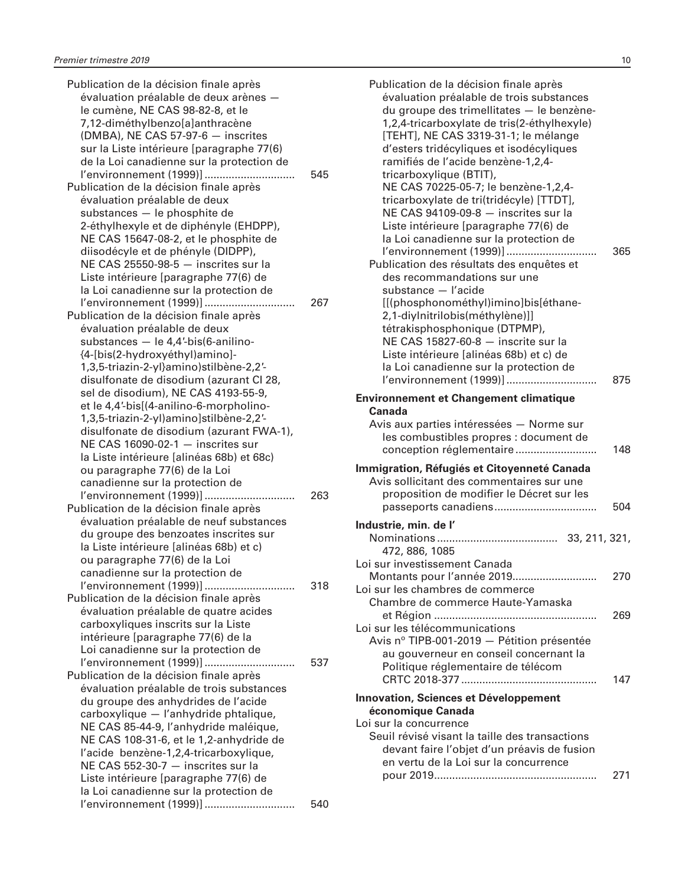| Publication de la décision finale après                           |     |
|-------------------------------------------------------------------|-----|
| évaluation préalable de deux arènes -                             |     |
| le cumène, NE CAS 98-82-8, et le                                  |     |
| 7,12-diméthylbenzo[a]anthracène                                   |     |
| (DMBA), NE CAS 57-97-6 - inscrites                                |     |
|                                                                   |     |
| sur la Liste intérieure [paragraphe 77(6)                         |     |
| de la Loi canadienne sur la protection de                         |     |
| l'environnement (1999)]                                           | 545 |
| Publication de la décision finale après                           |     |
| évaluation préalable de deux                                      |     |
| substances - le phosphite de                                      |     |
| 2-éthylhexyle et de diphényle (EHDPP),                            |     |
| NE CAS 15647-08-2, et le phosphite de                             |     |
| diisodécyle et de phényle (DIDPP),                                |     |
| NE CAS 25550-98-5 - inscrites sur la                              |     |
|                                                                   |     |
| Liste intérieure [paragraphe 77(6) de                             |     |
| la Loi canadienne sur la protection de                            |     |
| l'environnement (1999)]                                           | 267 |
| Publication de la décision finale après                           |     |
| évaluation préalable de deux                                      |     |
| substances - le 4,4'-bis(6-anilino-                               |     |
| {4-[bis(2-hydroxyéthyl)amino]-                                    |     |
| 1,3,5-triazin-2-yl}amino)stilbène-2,2'-                           |     |
| disulfonate de disodium (azurant CI 28,                           |     |
|                                                                   |     |
| sel de disodium), NE CAS 4193-55-9,                               |     |
| et le 4,4'-bis[(4-anilino-6-morpholino-                           |     |
| 1,3,5-triazin-2-yl)amino]stilbène-2,2'-                           |     |
| disulfonate de disodium (azurant FWA-1),                          |     |
| NE CAS 16090-02-1 - inscrites sur                                 |     |
| la Liste intérieure [alinéas 68b) et 68c)                         |     |
| ou paragraphe 77(6) de la Loi                                     |     |
| canadienne sur la protection de                                   |     |
| l'environnement (1999)]                                           | 263 |
| Publication de la décision finale après                           |     |
| évaluation préalable de neuf substances                           |     |
|                                                                   |     |
| du groupe des benzoates inscrites sur                             |     |
| la Liste intérieure [alinéas 68b) et c)                           |     |
| ou paragraphe 77(6) de la Loi                                     |     |
| canadienne sur la protection de                                   |     |
| l'environnement (1999)]                                           | 318 |
| Publication de la décision finale après                           |     |
| évaluation préalable de quatre acides                             |     |
| carboxyliques inscrits sur la Liste                               |     |
| intérieure [paragraphe 77(6) de la                                |     |
| Loi canadienne sur la protection de                               |     |
|                                                                   |     |
| l'environnement (1999)]                                           | 537 |
| Publication de la décision finale après                           |     |
| évaluation préalable de trois substances                          |     |
| du groupe des anhydrides de l'acide                               |     |
| carboxylique - l'anhydride phtalique,                             |     |
| NE CAS 85-44-9, l'anhydride maléique,                             |     |
| NE CAS 108-31-6, et le 1,2-anhydride de                           |     |
| l'acide benzène-1,2,4-tricarboxylique,                            |     |
| NE CAS 552-30-7 - inscrites sur la                                |     |
| Liste intérieure [paragraphe 77(6) de                             |     |
|                                                                   |     |
| la Loi canadienne sur la protection de<br>l'environnement (1999)] |     |
|                                                                   | 540 |

| Publication de la décision finale après<br>évaluation préalable de trois substances<br>du groupe des trimellitates - le benzène-<br>1,2,4-tricarboxylate de tris(2-éthylhexyle)<br>[TEHT], NE CAS 3319-31-1; le mélange<br>d'esters tridécyliques et isodécyliques<br>ramifiés de l'acide benzène-1,2,4-                                                                                                     |     |
|--------------------------------------------------------------------------------------------------------------------------------------------------------------------------------------------------------------------------------------------------------------------------------------------------------------------------------------------------------------------------------------------------------------|-----|
| tricarboxylique (BTIT),<br>NE CAS 70225-05-7; le benzène-1,2,4-<br>tricarboxylate de tri(tridécyle) [TTDT],<br>NE CAS 94109-09-8 - inscrites sur la<br>Liste intérieure [paragraphe 77(6) de<br>la Loi canadienne sur la protection de<br>l'environnement (1999)]<br>Publication des résultats des enquêtes et<br>des recommandations sur une<br>substance - l'acide<br>[[(phosphonométhyl)imino]bis[éthane- | 365 |
| 2,1-diylnitrilobis(méthylène)]]<br>tétrakisphosphonique (DTPMP),<br>NE CAS 15827-60-8 - inscrite sur la<br>Liste intérieure [alinéas 68b) et c) de<br>la Loi canadienne sur la protection de<br>l'environnement (1999)]                                                                                                                                                                                      | 875 |
| <b>Environnement et Changement climatique</b><br>Canada<br>Avis aux parties intéressées - Norme sur<br>les combustibles propres : document de                                                                                                                                                                                                                                                                | 148 |
| Immigration, Réfugiés et Citoyenneté Canada<br>Avis sollicitant des commentaires sur une<br>proposition de modifier le Décret sur les                                                                                                                                                                                                                                                                        | 504 |
| Industrie, min. de l'<br>472, 886, 1085                                                                                                                                                                                                                                                                                                                                                                      |     |
| Loi sur investissement Canada<br>Montants pour l'année 2019<br>Loi sur les chambres de commerce                                                                                                                                                                                                                                                                                                              | 270 |
| Chambre de commerce Haute-Yamaska<br>Loi sur les télécommunications<br>Avis nº TIPB-001-2019 - Pétition présentée                                                                                                                                                                                                                                                                                            | 269 |
| au gouverneur en conseil concernant la<br>Politique réglementaire de télécom                                                                                                                                                                                                                                                                                                                                 | 147 |
| <b>Innovation, Sciences et Développement</b><br>économique Canada<br>Loi sur la concurrence<br>Seuil révisé visant la taille des transactions<br>devant faire l'objet d'un préavis de fusion                                                                                                                                                                                                                 |     |
| en vertu de la Loi sur la concurrence                                                                                                                                                                                                                                                                                                                                                                        | 271 |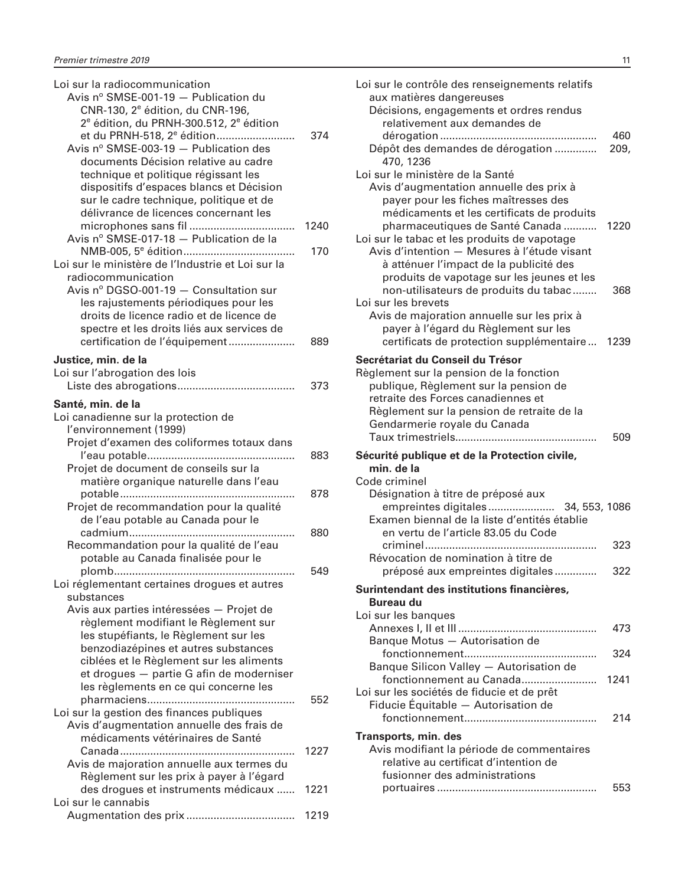| Loi sur la radiocommunication                                   |      |
|-----------------------------------------------------------------|------|
| Avis nº SMSE-001-19 - Publication du                            |      |
| CNR-130, 2 <sup>e</sup> édition, du CNR-196,                    |      |
| 2 <sup>e</sup> édition, du PRNH-300.512, 2 <sup>e</sup> édition |      |
| et du PRNH-518, 2 <sup>e</sup> édition                          | 374  |
| Avis nº SMSE-003-19 - Publication des                           |      |
| documents Décision relative au cadre                            |      |
| technique et politique régissant les                            |      |
| dispositifs d'espaces blancs et Décision                        |      |
| sur le cadre technique, politique et de                         |      |
| délivrance de licences concernant les                           |      |
|                                                                 | 1240 |
| Avis nº SMSE-017-18 - Publication de la                         |      |
|                                                                 | 170  |
| Loi sur le ministère de l'Industrie et Loi sur la               |      |
| radiocommunication                                              |      |
| Avis nº DGSO-001-19 - Consultation sur                          |      |
| les rajustements périodiques pour les                           |      |
| droits de licence radio et de licence de                        |      |
| spectre et les droits liés aux services de                      |      |
|                                                                 |      |
| certification de l'équipement                                   | 889  |
| Justice, min. de la                                             |      |
| Loi sur l'abrogation des lois                                   |      |
|                                                                 | 373  |
| Santé, min. de la                                               |      |
| Loi canadienne sur la protection de                             |      |
|                                                                 |      |
| l'environnement (1999)                                          |      |
| Projet d'examen des coliformes totaux dans                      |      |
|                                                                 | 883  |
| Projet de document de conseils sur la                           |      |
| matière organique naturelle dans l'eau                          |      |
|                                                                 | 878  |
| Projet de recommandation pour la qualité                        |      |
| de l'eau potable au Canada pour le                              |      |
|                                                                 | 880  |
| Recommandation pour la qualité de l'eau                         |      |
| potable au Canada finalisée pour le                             |      |
|                                                                 | 549  |
| Loi réglementant certaines drogues et autres                    |      |
| substances                                                      |      |
| Avis aux parties intéressées - Projet de                        |      |
| règlement modifiant le Règlement sur                            |      |
| les stupéfiants, le Règlement sur les                           |      |
| benzodiazépines et autres substances                            |      |
| ciblées et le Règlement sur les aliments                        |      |
| et drogues - partie G afin de moderniser                        |      |
| les règlements en ce qui concerne les                           |      |
|                                                                 | 552  |
| Loi sur la gestion des finances publiques                       |      |
| Avis d'augmentation annuelle des frais de                       |      |
| médicaments vétérinaires de Santé                               |      |
|                                                                 | 1227 |
| Avis de majoration annuelle aux termes du                       |      |
| Règlement sur les prix à payer à l'égard                        |      |
| des drogues et instruments médicaux                             | 1221 |
| Loi sur le cannabis                                             |      |
|                                                                 | 1219 |
|                                                                 |      |

| Loi sur le contrôle des renseignements relatifs<br>aux matières dangereuses<br>Décisions, engagements et ordres rendus<br>relativement aux demandes de                                                                                   |             |
|------------------------------------------------------------------------------------------------------------------------------------------------------------------------------------------------------------------------------------------|-------------|
| Dépôt des demandes de dérogation<br>470, 1236                                                                                                                                                                                            | 460<br>209, |
| Loi sur le ministère de la Santé<br>Avis d'augmentation annuelle des prix à<br>payer pour les fiches maîtresses des<br>médicaments et les certificats de produits<br>pharmaceutiques de Santé Canada                                     | 1220        |
| Loi sur le tabac et les produits de vapotage<br>Avis d'intention - Mesures à l'étude visant<br>à atténuer l'impact de la publicité des<br>produits de vapotage sur les jeunes et les<br>non-utilisateurs de produits du tabac            | 368         |
| Loi sur les brevets<br>Avis de majoration annuelle sur les prix à<br>payer à l'égard du Règlement sur les<br>certificats de protection supplémentaire                                                                                    | 1239        |
| Secrétariat du Conseil du Trésor<br>Règlement sur la pension de la fonction<br>publique, Règlement sur la pension de<br>retraite des Forces canadiennes et<br>Règlement sur la pension de retraite de la<br>Gendarmerie royale du Canada | 509         |
| Sécurité publique et de la Protection civile,<br>min. de la<br>Code criminel<br>Désignation à titre de préposé aux                                                                                                                       |             |
| empreintes digitales<br>34, 553, 1086<br>Examen biennal de la liste d'entités établie<br>en vertu de l'article 83.05 du Code                                                                                                             |             |
| Révocation de nomination à titre de<br>préposé aux empreintes digitales                                                                                                                                                                  | 323         |
|                                                                                                                                                                                                                                          |             |
| Surintendant des institutions financières,<br>Bureau du                                                                                                                                                                                  | 322         |
| Loi sur les banques<br>Banque Motus - Autorisation de                                                                                                                                                                                    | 473         |
| fonctionnement<br>Banque Silicon Valley - Autorisation de                                                                                                                                                                                | 324         |
| fonctionnement au Canada<br>Loi sur les sociétés de fiducie et de prêt<br>Fiducie Équitable - Autorisation de                                                                                                                            | 1241<br>214 |
| Transports, min. des<br>Avis modifiant la période de commentaires<br>relative au certificat d'intention de<br>fusionner des administrations                                                                                              |             |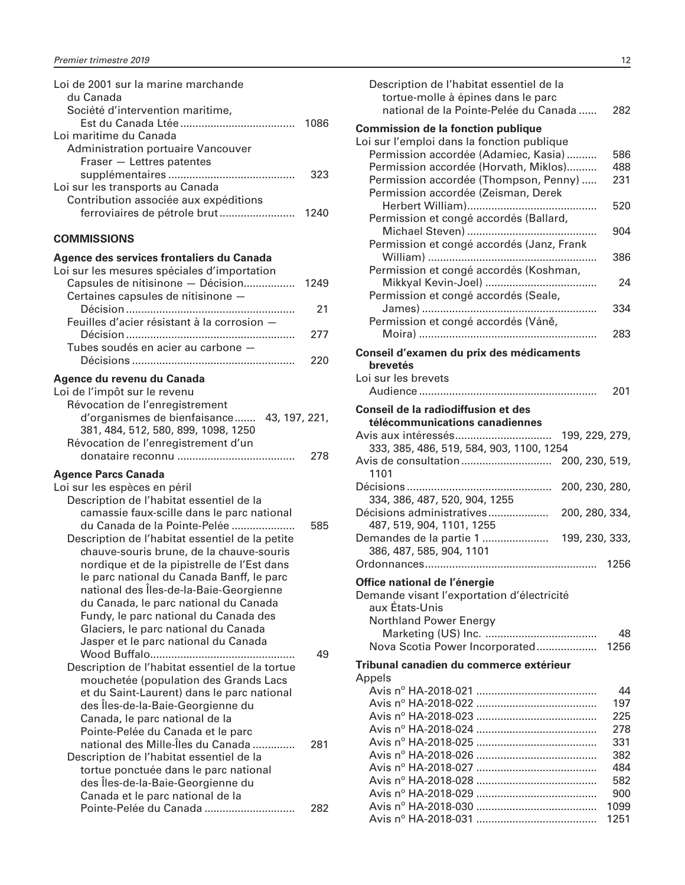<span id="page-13-0"></span>

| Loi de 2001 sur la marine marchande   |      |
|---------------------------------------|------|
| du Canada                             |      |
| Société d'intervention maritime,      |      |
|                                       | 1086 |
| Loi maritime du Canada                |      |
| Administration portuaire Vancouver    |      |
| Fraser - Lettres patentes             |      |
|                                       | 323  |
| Loi sur les transports au Canada      |      |
| Contribution associée aux expéditions |      |
|                                       | 1240 |
|                                       |      |

| Agence des services frontaliers du Canada<br>Loi sur les mesures spéciales d'importation<br>Capsules de nitisinone - Décision<br>1249<br>Certaines capsules de nitisinone -<br>21<br>Feuilles d'acier résistant à la corrosion -<br>277<br>Tubes soudés en acier au carbone -<br>220<br>Agence du revenu du Canada<br>Loi de l'impôt sur le revenu<br>Révocation de l'enregistrement<br>d'organismes de bienfaisance 43, 197, 221,<br>381, 484, 512, 580, 899, 1098, 1250<br>Révocation de l'enregistrement d'un<br>278<br><b>Agence Parcs Canada</b><br>Loi sur les espèces en péril<br>Description de l'habitat essentiel de la<br>camassie faux-scille dans le parc national |
|---------------------------------------------------------------------------------------------------------------------------------------------------------------------------------------------------------------------------------------------------------------------------------------------------------------------------------------------------------------------------------------------------------------------------------------------------------------------------------------------------------------------------------------------------------------------------------------------------------------------------------------------------------------------------------|
|                                                                                                                                                                                                                                                                                                                                                                                                                                                                                                                                                                                                                                                                                 |
|                                                                                                                                                                                                                                                                                                                                                                                                                                                                                                                                                                                                                                                                                 |
|                                                                                                                                                                                                                                                                                                                                                                                                                                                                                                                                                                                                                                                                                 |
|                                                                                                                                                                                                                                                                                                                                                                                                                                                                                                                                                                                                                                                                                 |
|                                                                                                                                                                                                                                                                                                                                                                                                                                                                                                                                                                                                                                                                                 |
|                                                                                                                                                                                                                                                                                                                                                                                                                                                                                                                                                                                                                                                                                 |
|                                                                                                                                                                                                                                                                                                                                                                                                                                                                                                                                                                                                                                                                                 |
|                                                                                                                                                                                                                                                                                                                                                                                                                                                                                                                                                                                                                                                                                 |
|                                                                                                                                                                                                                                                                                                                                                                                                                                                                                                                                                                                                                                                                                 |
|                                                                                                                                                                                                                                                                                                                                                                                                                                                                                                                                                                                                                                                                                 |
|                                                                                                                                                                                                                                                                                                                                                                                                                                                                                                                                                                                                                                                                                 |
|                                                                                                                                                                                                                                                                                                                                                                                                                                                                                                                                                                                                                                                                                 |
|                                                                                                                                                                                                                                                                                                                                                                                                                                                                                                                                                                                                                                                                                 |
|                                                                                                                                                                                                                                                                                                                                                                                                                                                                                                                                                                                                                                                                                 |
|                                                                                                                                                                                                                                                                                                                                                                                                                                                                                                                                                                                                                                                                                 |
| du Canada de la Pointe-Pelée<br>585                                                                                                                                                                                                                                                                                                                                                                                                                                                                                                                                                                                                                                             |
| Description de l'habitat essentiel de la petite<br>chauve-souris brune, de la chauve-souris                                                                                                                                                                                                                                                                                                                                                                                                                                                                                                                                                                                     |
| nordique et de la pipistrelle de l'Est dans                                                                                                                                                                                                                                                                                                                                                                                                                                                                                                                                                                                                                                     |
| le parc national du Canada Banff, le parc                                                                                                                                                                                                                                                                                                                                                                                                                                                                                                                                                                                                                                       |
| national des Îles-de-la-Baie-Georgienne                                                                                                                                                                                                                                                                                                                                                                                                                                                                                                                                                                                                                                         |
| du Canada, le parc national du Canada                                                                                                                                                                                                                                                                                                                                                                                                                                                                                                                                                                                                                                           |
| Fundy, le parc national du Canada des                                                                                                                                                                                                                                                                                                                                                                                                                                                                                                                                                                                                                                           |
| Glaciers, le parc national du Canada                                                                                                                                                                                                                                                                                                                                                                                                                                                                                                                                                                                                                                            |
| Jasper et le parc national du Canada                                                                                                                                                                                                                                                                                                                                                                                                                                                                                                                                                                                                                                            |
| 49                                                                                                                                                                                                                                                                                                                                                                                                                                                                                                                                                                                                                                                                              |
| Description de l'habitat essentiel de la tortue                                                                                                                                                                                                                                                                                                                                                                                                                                                                                                                                                                                                                                 |
| mouchetée (population des Grands Lacs<br>et du Saint-Laurent) dans le parc national                                                                                                                                                                                                                                                                                                                                                                                                                                                                                                                                                                                             |

| national des lies-de-la-Baie-Georgienne         |     |  |
|-------------------------------------------------|-----|--|
| du Canada, le parc national du Canada           |     |  |
| Fundy, le parc national du Canada des           |     |  |
| Glaciers, le parc national du Canada            |     |  |
| Jasper et le parc national du Canada            |     |  |
|                                                 | 49  |  |
| Description de l'habitat essentiel de la tortue |     |  |
| mouchetée (population des Grands Lacs           |     |  |
| et du Saint-Laurent) dans le parc national      |     |  |
| des Iles-de-la-Baie-Georgienne du               |     |  |
| Canada, le parc national de la                  |     |  |
| Pointe-Pelée du Canada et le parc               |     |  |
| national des Mille-Îles du Canada               | 281 |  |
| Description de l'habitat essentiel de la        |     |  |
| tortue ponctuée dans le parc national           |     |  |
| des Îles-de-la-Baie-Georgienne du               |     |  |
| Canada et le parc national de la                |     |  |
| Pointe-Pelée du Canada                          | 282 |  |

| Description de l'habitat essentiel de la<br>tortue-molle à épines dans le parc<br>national de la Pointe-Pelée du Canada | 282  |
|-------------------------------------------------------------------------------------------------------------------------|------|
| <b>Commission de la fonction publique</b><br>Loi sur l'emploi dans la fonction publique                                 |      |
| Permission accordée (Adamiec, Kasia)                                                                                    | 586  |
| Permission accordée (Horvath, Miklos)                                                                                   | 488  |
| Permission accordée (Thompson, Penny)                                                                                   | 231  |
| Permission accordée (Zeisman, Derek                                                                                     |      |
| Herbert William)                                                                                                        | 520  |
| Permission et congé accordés (Ballard,                                                                                  |      |
|                                                                                                                         | 904  |
| Permission et congé accordés (Janz, Frank                                                                               |      |
|                                                                                                                         | 386  |
| Permission et congé accordés (Koshman,                                                                                  |      |
|                                                                                                                         | 24   |
| Permission et congé accordés (Seale,                                                                                    | 334  |
| Permission et congé accordés (Váně,                                                                                     |      |
|                                                                                                                         | 283  |
|                                                                                                                         |      |
| Conseil d'examen du prix des médicaments                                                                                |      |
| brevetés                                                                                                                |      |
| Loi sur les brevets                                                                                                     |      |
|                                                                                                                         | 201  |
| Conseil de la radiodiffusion et des                                                                                     |      |
| télécommunications canadiennes                                                                                          |      |
| 199, 229, 279,                                                                                                          |      |
| 333, 385, 486, 519, 584, 903, 1100, 1254                                                                                |      |
| 200, 230, 519,<br>1101                                                                                                  |      |
| Décisions                                                                                                               |      |
| 200, 230, 280,<br>.<br>334, 386, 487, 520, 904, 1255                                                                    |      |
| Décisions administratives<br>200, 280, 334,                                                                             |      |
| 487, 519, 904, 1101, 1255                                                                                               |      |
| Demandes de la partie 1  199, 230, 333,                                                                                 |      |
| 386, 487, 585, 904, 1101                                                                                                |      |
|                                                                                                                         | 1256 |
| Office national de l'énergie                                                                                            |      |
| Demande visant l'exportation d'électricité                                                                              |      |
| aux États-Unis                                                                                                          |      |
| <b>Northland Power Energy</b>                                                                                           |      |
|                                                                                                                         | 48   |
| Nova Scotia Power Incorporated                                                                                          | 1256 |
| Tribunal canadien du commerce extérieur                                                                                 |      |
| Appels                                                                                                                  |      |
|                                                                                                                         | 44   |
|                                                                                                                         | 197  |
|                                                                                                                         | 225  |
|                                                                                                                         | 278  |
|                                                                                                                         | 331  |
|                                                                                                                         | 382  |
|                                                                                                                         | 484  |
|                                                                                                                         | 582  |
|                                                                                                                         | 900  |
|                                                                                                                         | 1099 |
|                                                                                                                         | 1251 |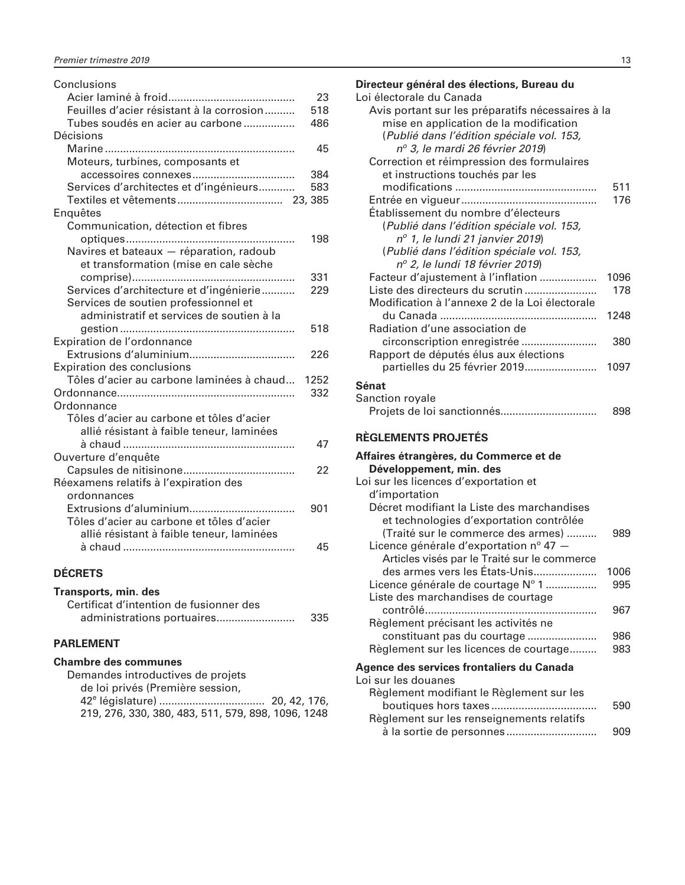<span id="page-14-0"></span>

| Conclusions                               |      |
|-------------------------------------------|------|
|                                           | 23   |
| Feuilles d'acier résistant à la corrosion | 518  |
| Tubes soudés en acier au carbone          | 486  |
| Décisions                                 |      |
|                                           | 45   |
| Moteurs, turbines, composants et          |      |
|                                           | 384  |
| Services d'architectes et d'ingénieurs    | 583  |
|                                           |      |
| Enquêtes                                  |      |
| Communication, détection et fibres        |      |
|                                           | 198  |
| Navires et bateaux - réparation, radoub   |      |
| et transformation (mise en cale sèche     |      |
|                                           | 331  |
| Services d'architecture et d'ingénierie   | 229  |
| Services de soutien professionnel et      |      |
| administratif et services de soutien à la |      |
|                                           | 518  |
| Expiration de l'ordonnance                |      |
|                                           | 226  |
| <b>Expiration des conclusions</b>         |      |
| Tôles d'acier au carbone laminées à chaud | 1252 |
|                                           | 332  |
| Ordonnance                                |      |
| Tôles d'acier au carbone et tôles d'acier |      |
| allié résistant à faible teneur, laminées |      |
|                                           | 47   |
| Ouverture d'enquête                       |      |
|                                           | 22   |
| Réexamens relatifs à l'expiration des     |      |
| ordonnances                               |      |
|                                           | 901  |
| Tôles d'acier au carbone et tôles d'acier |      |
| allié résistant à faible teneur, laminées |      |
|                                           | 45   |
|                                           |      |
|                                           |      |

#### **DÉCRETS**

| Transports, min. des                    |     |
|-----------------------------------------|-----|
| Certificat d'intention de fusionner des |     |
| administrations portuaires              | 335 |

#### **PARLEMENT**

| <b>Chambre des communes</b>                        |  |
|----------------------------------------------------|--|
| Demandes introductives de projets                  |  |
| de loi privés (Première session,                   |  |
|                                                    |  |
| 219, 276, 330, 380, 483, 511, 579, 898, 1096, 1248 |  |

| Directeur général des élections, Bureau du<br>Loi électorale du Canada                      |             |
|---------------------------------------------------------------------------------------------|-------------|
| Avis portant sur les préparatifs nécessaires à la<br>mise en application de la modification |             |
| (Publié dans l'édition spéciale vol. 153,<br>nº 3, le mardi 26 février 2019)                |             |
| Correction et réimpression des formulaires                                                  |             |
| et instructions touchés par les                                                             | 511         |
| Établissement du nombre d'électeurs                                                         | 176         |
| (Publié dans l'édition spéciale vol. 153,                                                   |             |
| $n^{\circ}$ 1, le lundi 21 janvier 2019)<br>(Publié dans l'édition spéciale vol. 153,       |             |
| nº 2, le lundi 18 février 2019)                                                             |             |
| Facteur d'ajustement à l'inflation<br>Liste des directeurs du scrutin                       | 1096<br>178 |
| Modification à l'annexe 2 de la Loi électorale                                              |             |
|                                                                                             | 1248        |
| Radiation d'une association de<br>circonscription enregistrée                               | 380         |
| Rapport de députés élus aux élections                                                       |             |

partielles du 25 février 2019........................ 1097

| ------          |     |
|-----------------|-----|
| Sanction royale |     |
|                 | 898 |

#### **RÈGLEMENTS PROJETÉS**

**Sénat**

| Affaires étrangères, du Commerce et de       |      |
|----------------------------------------------|------|
| Développement, min. des                      |      |
| Loi sur les licences d'exportation et        |      |
| d'importation                                |      |
| Décret modifiant la Liste des marchandises   |      |
| et technologies d'exportation contrôlée      |      |
| (Traité sur le commerce des armes)           | 989  |
| Licence générale d'exportation nº 47 $-$     |      |
| Articles visés par le Traité sur le commerce |      |
| des armes vers les États-Unis                | 1006 |
| Licence générale de courtage N° 1            | 995  |
| Liste des marchandises de courtage           |      |
|                                              | 967  |
| Règlement précisant les activités ne         |      |
|                                              | 986  |
| Règlement sur les licences de courtage       | 983  |
| Agence des services frontaliers du Canada    |      |
| Loi sur les douanes                          |      |
| Règlement modifiant le Règlement sur les     |      |
|                                              | 590  |
|                                              |      |

Règlement sur les renseignements relatifs

à la sortie de personnes .............................. 909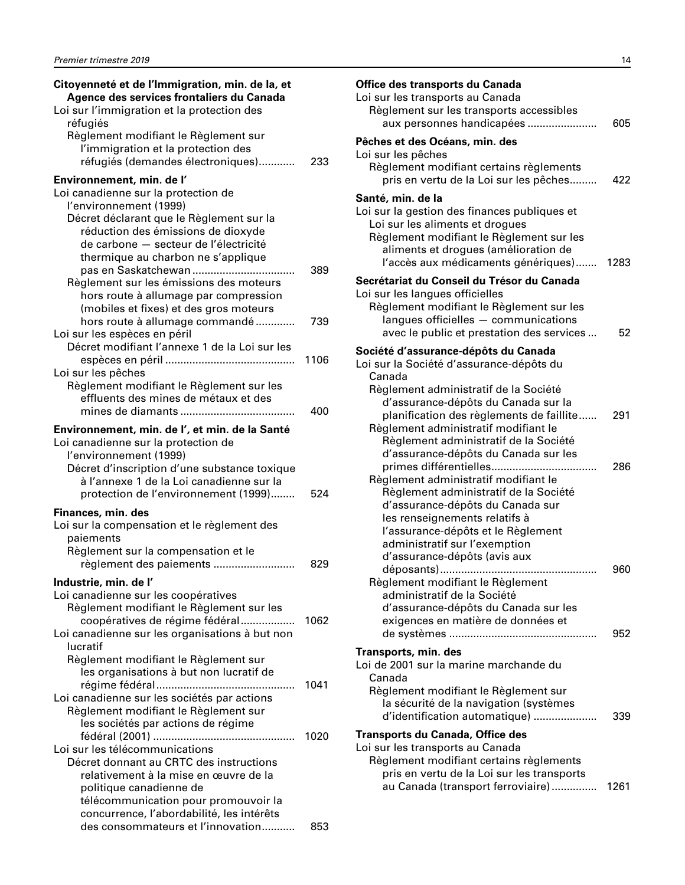| Citoyenneté et de l'Immigration, min. de la, et<br>Agence des services frontaliers du Canada<br>Loi sur l'immigration et la protection des |      |
|--------------------------------------------------------------------------------------------------------------------------------------------|------|
| réfugiés<br>Règlement modifiant le Règlement sur<br>l'immigration et la protection des<br>réfugiés (demandes électroniques)                | 233  |
| Environnement, min. de l'                                                                                                                  |      |
| Loi canadienne sur la protection de                                                                                                        |      |
| l'environnement (1999)                                                                                                                     |      |
| Décret déclarant que le Règlement sur la                                                                                                   |      |
| réduction des émissions de dioxyde<br>de carbone - secteur de l'électricité                                                                |      |
| thermique au charbon ne s'applique                                                                                                         |      |
|                                                                                                                                            | 389  |
| Règlement sur les émissions des moteurs                                                                                                    |      |
| hors route à allumage par compression                                                                                                      |      |
| (mobiles et fixes) et des gros moteurs                                                                                                     |      |
| hors route à allumage commandé                                                                                                             | 739  |
| Loi sur les espèces en péril<br>Décret modifiant l'annexe 1 de la Loi sur les                                                              |      |
|                                                                                                                                            | 1106 |
| Loi sur les pêches                                                                                                                         |      |
| Règlement modifiant le Règlement sur les                                                                                                   |      |
| effluents des mines de métaux et des                                                                                                       |      |
|                                                                                                                                            | 400  |
| Environnement, min. de l', et min. de la Santé                                                                                             |      |
| Loi canadienne sur la protection de                                                                                                        |      |
| l'environnement (1999)                                                                                                                     |      |
| Décret d'inscription d'une substance toxique<br>à l'annexe 1 de la Loi canadienne sur la                                                   |      |
| protection de l'environnement (1999)                                                                                                       | 524  |
| Finances, min. des                                                                                                                         |      |
| Loi sur la compensation et le règlement des                                                                                                |      |
| paiements                                                                                                                                  |      |
| Règlement sur la compensation et le                                                                                                        |      |
| règlement des paiements                                                                                                                    | 829  |
| Industrie, min. de l'                                                                                                                      |      |
| Loi canadienne sur les coopératives                                                                                                        |      |
| Règlement modifiant le Règlement sur les                                                                                                   |      |
| coopératives de régime fédéral                                                                                                             | 1062 |
| Loi canadienne sur les organisations à but non<br>lucratif                                                                                 |      |
| Règlement modifiant le Règlement sur                                                                                                       |      |
| les organisations à but non lucratif de                                                                                                    | 1041 |
| Loi canadienne sur les sociétés par actions                                                                                                |      |
| Règlement modifiant le Règlement sur                                                                                                       |      |
| les sociétés par actions de régime                                                                                                         |      |
|                                                                                                                                            | 1020 |
| Loi sur les télécommunications                                                                                                             |      |
| Décret donnant au CRTC des instructions                                                                                                    |      |
| relativement à la mise en œuvre de la<br>politique canadienne de                                                                           |      |
| télécommunication pour promouvoir la                                                                                                       |      |
| concurrence, l'abordabilité, les intérêts                                                                                                  |      |
| des consommateurs et l'innovation                                                                                                          | 853  |

| Office des transports du Canada<br>Loi sur les transports au Canada<br>Règlement sur les transports accessibles<br>aux personnes handicapées                                                                                                                                                | 605  |
|---------------------------------------------------------------------------------------------------------------------------------------------------------------------------------------------------------------------------------------------------------------------------------------------|------|
| Pêches et des Océans, min. des<br>Loi sur les pêches<br>Règlement modifiant certains règlements<br>pris en vertu de la Loi sur les pêches                                                                                                                                                   | 422  |
| Santé, min. de la<br>Loi sur la gestion des finances publiques et<br>Loi sur les aliments et drogues<br>Règlement modifiant le Règlement sur les<br>aliments et drogues (amélioration de<br>l'accès aux médicaments génériques)                                                             | 1283 |
| Secrétariat du Conseil du Trésor du Canada<br>Loi sur les langues officielles<br>Règlement modifiant le Règlement sur les<br>langues officielles - communications<br>avec le public et prestation des services                                                                              | 52   |
| Société d'assurance-dépôts du Canada<br>Loi sur la Société d'assurance-dépôts du<br>Canada                                                                                                                                                                                                  |      |
| Règlement administratif de la Société<br>d'assurance-dépôts du Canada sur la<br>planification des règlements de faillite<br>Règlement administratif modifiant le<br>Règlement administratif de la Société                                                                                   | 291  |
| d'assurance-dépôts du Canada sur les<br>primes différentielles<br>Règlement administratif modifiant le<br>Règlement administratif de la Société<br>d'assurance-dépôts du Canada sur<br>les renseignements relatifs à<br>l'assurance-dépôts et le Règlement<br>administratif sur l'exemption | 286  |
| d'assurance-dépôts (avis aux<br>Règlement modifiant le Règlement<br>administratif de la Société<br>d'assurance-dépôts du Canada sur les<br>exigences en matière de données et                                                                                                               | 960  |
| Transports, min. des<br>Loi de 2001 sur la marine marchande du<br>Canada<br>Règlement modifiant le Règlement sur<br>la sécurité de la navigation (systèmes                                                                                                                                  | 952  |
| d'identification automatique)<br>Transports du Canada, Office des<br>Loi sur les transports au Canada<br>Règlement modifiant certains règlements<br>pris en vertu de la Loi sur les transports                                                                                              | 339  |
| au Canada (transport ferroviaire)                                                                                                                                                                                                                                                           | 1261 |